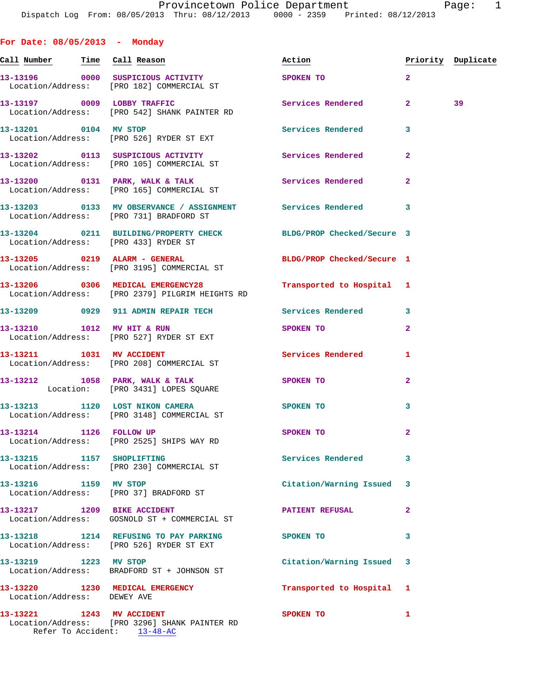**For Date: 08/05/2013 - Monday** Call Number Time Call Reason **Reason Action Action** Priority Duplicate **13-13196 0000 SUSPICIOUS ACTIVITY SPOKEN TO 2**  Location/Address: [PRO 182] COMMERCIAL ST 13-13197 0009 LOBBY TRAFFIC Services Rendered 2 39 Location/Address: [PRO 542] SHANK PAINTER RD **13-13201 0104 MV STOP Services Rendered 3**  Location/Address: [PRO 526] RYDER ST EXT **13-13202 0113 SUSPICIOUS ACTIVITY Services Rendered 2**  Location/Address: [PRO 105] COMMERCIAL ST **13-13200 0131 PARK, WALK & TALK Services Rendered 2**  Location/Address: [PRO 165] COMMERCIAL ST **13-13203 0133 MV OBSERVANCE / ASSIGNMENT Services Rendered 3**  Location/Address: [PRO 731] BRADFORD ST **13-13204 0211 BUILDING/PROPERTY CHECK BLDG/PROP Checked/Secure 3**  Location/Address: [PRO 433] RYDER ST **13-13205 0219 ALARM - GENERAL BLDG/PROP Checked/Secure 1**  Location/Address: [PRO 3195] COMMERCIAL ST **13-13206 0306 MEDICAL EMERGENCY28 Transported to Hospital 1**  Location/Address: [PRO 2379] PILGRIM HEIGHTS RD **13-13209 0929 911 ADMIN REPAIR TECH Services Rendered 3 13-13210 1012 MV HIT & RUN SPOKEN TO 2**  Location/Address: [PRO 527] RYDER ST EXT **13-13211 1031 MV ACCIDENT Services Rendered 1**  Location/Address: [PRO 208] COMMERCIAL ST 13-13212 1058 PARK, WALK & TALK 3POKEN TO 2 Location: [PRO 3431] LOPES SQUARE **13-13213 1120 LOST NIKON CAMERA SPOKEN TO 3**  Location/Address: [PRO 3148] COMMERCIAL ST **13-13214 1126 FOLLOW UP SPOKEN TO 2**  Location/Address: [PRO 2525] SHIPS WAY RD **13-13215 1157 SHOPLIFTING Services Rendered 3**  Location/Address: [PRO 230] COMMERCIAL ST **13-13216 1159 MV STOP Citation/Warning Issued 3**  Location/Address: [PRO 37] BRADFORD ST **13-13217 1209 BIKE ACCIDENT PATIENT REFUSAL 2**  Location/Address: GOSNOLD ST + COMMERCIAL ST **13-13218 1214 REFUSING TO PAY PARKING SPOKEN TO 3**  Location/Address: [PRO 526] RYDER ST EXT **13-13219 1223 MV STOP Citation/Warning Issued 3**  Location/Address: BRADFORD ST + JOHNSON ST **13-13220 1230 MEDICAL EMERGENCY Transported to Hospital 1** 

Location/Address: DEWEY AVE

**13-13221 1243 MV ACCIDENT SPOKEN TO 1**  Location/Address: [PRO 3296] SHANK PAINTER RD Refer To Accident: 13-48-AC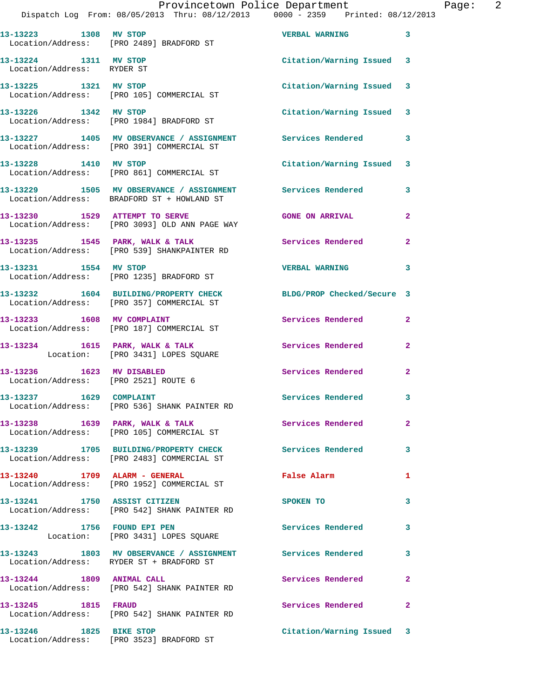|                                                     | Dispatch Log From: 08/05/2013 Thru: 08/12/2013 0000 - 2359 Printed: 08/12/2013                                | Provincetown Police Department Page: 2 |                |
|-----------------------------------------------------|---------------------------------------------------------------------------------------------------------------|----------------------------------------|----------------|
|                                                     | 13-13223 1308 MV STOP<br>Location/Address: [PRO 2489] BRADFORD ST                                             | <b>VERBAL WARNING</b>                  | 3              |
| 13-13224 1311 MV STOP<br>Location/Address: RYDER ST |                                                                                                               | Citation/Warning Issued 3              |                |
|                                                     | 13-13225 1321 MV STOP<br>Location/Address: [PRO 105] COMMERCIAL ST                                            | Citation/Warning Issued 3              |                |
|                                                     | 13-13226 1342 MV STOP<br>Location/Address: [PRO 1984] BRADFORD ST                                             | Citation/Warning Issued 3              |                |
|                                                     | 13-13227 1405 MV OBSERVANCE / ASSIGNMENT Services Rendered<br>Location/Address: [PRO 391] COMMERCIAL ST       |                                        | 3              |
|                                                     | 13-13228 1410 MV STOP<br>Location/Address: [PRO 861] COMMERCIAL ST                                            | Citation/Warning Issued 3              |                |
|                                                     | 13-13229 1505 MV OBSERVANCE / ASSIGNMENT Services Rendered 3<br>Location/Address: BRADFORD ST + HOWLAND ST    |                                        |                |
|                                                     | 13-13230 1529 ATTEMPT TO SERVE<br>Location/Address: [PRO 3093] OLD ANN PAGE WAY                               | <b>GONE ON ARRIVAL</b>                 | $\mathbf{2}$   |
|                                                     | 13-13235 1545 PARK, WALK & TALK<br>Location/Address: [PRO 539] SHANKPAINTER RD                                | Services Rendered 2                    |                |
|                                                     | 13-13231 1554 MV STOP<br>Location/Address: [PRO 1235] BRADFORD ST                                             | <b>VERBAL WARNING</b>                  | 3              |
|                                                     | 13-13232 1604 BUILDING/PROPERTY CHECK BLDG/PROP Checked/Secure 3<br>Location/Address: [PRO 357] COMMERCIAL ST |                                        |                |
|                                                     | 13-13233 1608 MV COMPLAINT<br>Location/Address: [PRO 187] COMMERCIAL ST                                       | Services Rendered                      | 2              |
|                                                     | 13-13234 1615 PARK, WALK & TALK 1988 Services Rendered<br>Location: [PRO 3431] LOPES SQUARE                   |                                        | $\mathbf{2}$   |
| Location/Address: [PRO 2521] ROUTE 6                | 13-13236 1623 MV DISABLED                                                                                     | Services Rendered                      | $\mathbf{2}$   |
| 13-13237 1629 COMPLAINT                             | Location/Address: [PRO 536] SHANK PAINTER RD                                                                  | <b>Services Rendered</b>               |                |
|                                                     | 13-13238 1639 PARK, WALK & TALK 1999 Services Rendered<br>Location/Address: [PRO 105] COMMERCIAL ST           |                                        | $\overline{2}$ |
|                                                     | 13-13239 1705 BUILDING/PROPERTY CHECK<br>Location/Address: [PRO 2483] COMMERCIAL ST                           | Services Rendered                      | 3              |
|                                                     | 13-13240 1709 ALARM - GENERAL<br>Location/Address: [PRO 1952] COMMERCIAL ST                                   | False Alarm                            | 1              |
|                                                     | 13-13241 1750 ASSIST CITIZEN<br>Location/Address: [PRO 542] SHANK PAINTER RD                                  | SPOKEN TO                              | 3              |
|                                                     | 13-13242 1756 FOUND EPI PEN<br>Location: [PRO 3431] LOPES SQUARE                                              | Services Rendered                      | 3              |
|                                                     | 13-13243 1803 MV OBSERVANCE / ASSIGNMENT Services Rendered<br>Location/Address: RYDER ST + BRADFORD ST        |                                        | 3              |
| 13-13244 1809 ANIMAL CALL                           | Location/Address: [PRO 542] SHANK PAINTER RD                                                                  | Services Rendered                      | 2              |
| 13-13245 1815 FRAUD                                 | Location/Address: [PRO 542] SHANK PAINTER RD                                                                  | Services Rendered                      | $\mathbf{2}$   |
|                                                     | 13-13246 1825 BIKE STOP<br>Location/Address: [PRO 3523] BRADFORD ST                                           | Citation/Warning Issued 3              |                |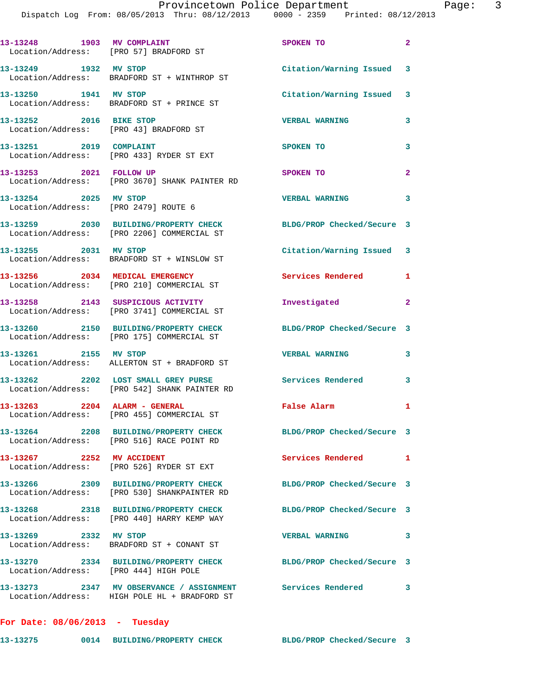Dispatch Log From: 08/05/2013 Thru: 08/12/2013 0000 - 2359 Printed: 08/12/2013

| 13-13248 1903 MV COMPLAINT<br>Location/Address: [PRO 57] BRADFORD ST |                                                                                          | SPOKEN TO                  | $\overline{a}$ |
|----------------------------------------------------------------------|------------------------------------------------------------------------------------------|----------------------------|----------------|
|                                                                      | 13-13249 1932 MV STOP<br>Location/Address: BRADFORD ST + WINTHROP ST                     | Citation/Warning Issued 3  |                |
| 13-13250 1941 MV STOP                                                | Location/Address: BRADFORD ST + PRINCE ST                                                | Citation/Warning Issued 3  |                |
| 13-13252 2016 BIKE STOP<br>Location/Address: [PRO 43] BRADFORD ST    |                                                                                          | <b>VERBAL WARNING</b>      | 3              |
| 13-13251 2019 COMPLAINT                                              | Location/Address: [PRO 433] RYDER ST EXT                                                 | SPOKEN TO                  | 3              |
| 13-13253 2021 FOLLOW UP                                              | Location/Address: [PRO 3670] SHANK PAINTER RD                                            | SPOKEN TO                  | $\overline{2}$ |
| 13-13254 2025 MV STOP<br>Location/Address: [PRO 2479] ROUTE 6        |                                                                                          | <b>VERBAL WARNING</b>      | 3              |
|                                                                      | 13-13259 2030 BUILDING/PROPERTY CHECK<br>Location/Address: [PRO 2206] COMMERCIAL ST      | BLDG/PROP Checked/Secure 3 |                |
|                                                                      | 13-13255 2031 MV STOP<br>Location/Address: BRADFORD ST + WINSLOW ST                      | Citation/Warning Issued 3  |                |
|                                                                      | 13-13256 2034 MEDICAL EMERGENCY<br>Location/Address: [PRO 210] COMMERCIAL ST             | <b>Services Rendered</b>   | 1              |
|                                                                      | 13-13258 2143 SUSPICIOUS ACTIVITY<br>Location/Address: [PRO 3741] COMMERCIAL ST          | Investigated               | $\overline{2}$ |
|                                                                      | 13-13260 2150 BUILDING/PROPERTY CHECK<br>Location/Address: [PRO 175] COMMERCIAL ST       | BLDG/PROP Checked/Secure 3 |                |
| 13-13261 2155 MV STOP                                                | Location/Address: ALLERTON ST + BRADFORD ST                                              | <b>VERBAL WARNING</b>      | 3              |
|                                                                      | 13-13262 2202 LOST SMALL GREY PURSE<br>Location/Address: [PRO 542] SHANK PAINTER RD      | <b>Services Rendered</b>   | 3              |
|                                                                      | 13-13263 2204 ALARM - GENERAL<br>Location/Address: [PRO 455] COMMERCIAL ST               | False Alarm                | 1              |
|                                                                      | 13-13264 2208 BUILDING/PROPERTY CHECK<br>Location/Address: [PRO 516] RACE POINT RD       | BLDG/PROP Checked/Secure 3 |                |
| 13-13267 2252 MV ACCIDENT                                            | Location/Address: [PRO 526] RYDER ST EXT                                                 | <b>Services Rendered</b>   | 1              |
|                                                                      | 13-13266 2309 BUILDING/PROPERTY CHECK<br>Location/Address: [PRO 530] SHANKPAINTER RD     | BLDG/PROP Checked/Secure 3 |                |
|                                                                      | 13-13268 2318 BUILDING/PROPERTY CHECK<br>Location/Address: [PRO 440] HARRY KEMP WAY      | BLDG/PROP Checked/Secure 3 |                |
| 13-13269 2332 MV STOP                                                | Location/Address: BRADFORD ST + CONANT ST                                                | <b>VERBAL WARNING</b>      | 3              |
| Location/Address: [PRO 444] HIGH POLE                                | 13-13270 2334 BUILDING/PROPERTY CHECK                                                    | BLDG/PROP Checked/Secure 3 |                |
|                                                                      | 13-13273 2347 MV OBSERVANCE / ASSIGNMENT<br>Location/Address: HIGH POLE HL + BRADFORD ST | Services Rendered          | 3              |
| For Date: $08/06/2013$ - Tuesday                                     |                                                                                          |                            |                |

**13-13275 0014 BUILDING/PROPERTY CHECK BLDG/PROP Checked/Secure 3**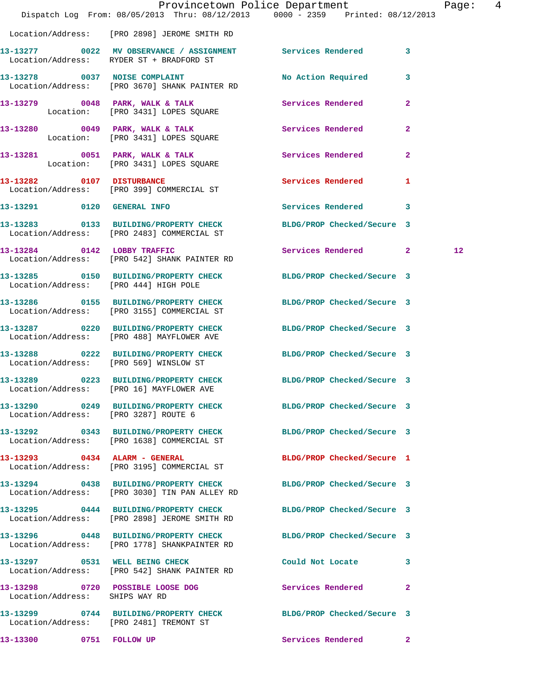|                                       |                                                                                        | Provincetown Police Department<br>Dispatch Log From: 08/05/2013 Thru: 08/12/2013 0000 - 2359 Printed: 08/12/2013 | Page: 4           |  |
|---------------------------------------|----------------------------------------------------------------------------------------|------------------------------------------------------------------------------------------------------------------|-------------------|--|
|                                       | Location/Address: [PRO 2898] JEROME SMITH RD                                           |                                                                                                                  |                   |  |
|                                       | Location/Address: RYDER ST + BRADFORD ST                                               | 13-13277 0022 MV OBSERVANCE / ASSIGNMENT Services Rendered 3                                                     |                   |  |
|                                       | 13-13278 0037 NOISE COMPLAINT<br>Location/Address: [PRO 3670] SHANK PAINTER RD         | No Action Required 3                                                                                             |                   |  |
|                                       | Location: [PRO 3431] LOPES SQUARE                                                      | 13-13279 0048 PARK, WALK & TALK Services Rendered 2                                                              |                   |  |
|                                       | 13-13280 0049 PARK, WALK & TALK<br>Location: [PRO 3431] LOPES SQUARE                   | <b>Services Rendered</b><br>$\mathbf{2}$                                                                         |                   |  |
|                                       | Location: [PRO 3431] LOPES SQUARE                                                      | 13-13281 0051 PARK, WALK & TALK Services Rendered 2                                                              |                   |  |
|                                       | 13-13282 0107 DISTURBANCE<br>Location/Address: [PRO 399] COMMERCIAL ST                 | <b>Services Rendered</b><br>1                                                                                    |                   |  |
| 13-13291 0120 GENERAL INFO            |                                                                                        | Services Rendered 3                                                                                              |                   |  |
|                                       | 13-13283 0133 BUILDING/PROPERTY CHECK<br>Location/Address: [PRO 2483] COMMERCIAL ST    | BLDG/PROP Checked/Secure 3                                                                                       |                   |  |
|                                       | 13-13284 0142 LOBBY TRAFFIC<br>Location/Address: [PRO 542] SHANK PAINTER RD            | Services Rendered 2                                                                                              | $12 \overline{ }$ |  |
| Location/Address: [PRO 444] HIGH POLE |                                                                                        | 13-13285 0150 BUILDING/PROPERTY CHECK BLDG/PROP Checked/Secure 3                                                 |                   |  |
|                                       | 13-13286 0155 BUILDING/PROPERTY CHECK<br>Location/Address: [PRO 3155] COMMERCIAL ST    | BLDG/PROP Checked/Secure 3                                                                                       |                   |  |
|                                       | 13-13287 0220 BUILDING/PROPERTY CHECK<br>Location/Address: [PRO 488] MAYFLOWER AVE     | BLDG/PROP Checked/Secure 3                                                                                       |                   |  |
|                                       | Location/Address: [PRO 569] WINSLOW ST                                                 | 13-13288 0222 BUILDING/PROPERTY CHECK BLDG/PROP Checked/Secure 3                                                 |                   |  |
|                                       | Location/Address: [PRO 16] MAYFLOWER AVE                                               | 13-13289 0223 BUILDING/PROPERTY CHECK BLDG/PROP Checked/Secure 3                                                 |                   |  |
| Location/Address: [PRO 3287] ROUTE 6  |                                                                                        | 13-13290 0249 BUILDING/PROPERTY CHECK BLDG/PROP Checked/Secure 3                                                 |                   |  |
|                                       | 13-13292 0343 BUILDING/PROPERTY CHECK<br>Location/Address: [PRO 1638] COMMERCIAL ST    | BLDG/PROP Checked/Secure 3                                                                                       |                   |  |
|                                       | 13-13293 0434 ALARM - GENERAL<br>Location/Address: [PRO 3195] COMMERCIAL ST            | BLDG/PROP Checked/Secure 1                                                                                       |                   |  |
|                                       | 13-13294 0438 BUILDING/PROPERTY CHECK<br>Location/Address: [PRO 3030] TIN PAN ALLEY RD | BLDG/PROP Checked/Secure 3                                                                                       |                   |  |
|                                       | Location/Address: [PRO 2898] JEROME SMITH RD                                           | 13-13295 0444 BUILDING/PROPERTY CHECK BLDG/PROP Checked/Secure 3                                                 |                   |  |
|                                       | 13-13296 0448 BUILDING/PROPERTY CHECK<br>Location/Address: [PRO 1778] SHANKPAINTER RD  | BLDG/PROP Checked/Secure 3                                                                                       |                   |  |
|                                       | 13-13297 0531 WELL BEING CHECK<br>Location/Address: [PRO 542] SHANK PAINTER RD         | Could Not Locate<br>3                                                                                            |                   |  |
| Location/Address: SHIPS WAY RD        | 13-13298 0720 POSSIBLE LOOSE DOG                                                       | Services Rendered<br>$\mathbf{2}$                                                                                |                   |  |
|                                       | Location/Address: [PRO 2481] TREMONT ST                                                | 13-13299 0744 BUILDING/PROPERTY CHECK BLDG/PROP Checked/Secure 3                                                 |                   |  |
| 13-13300 0751 FOLLOW UP               |                                                                                        | Services Rendered 2                                                                                              |                   |  |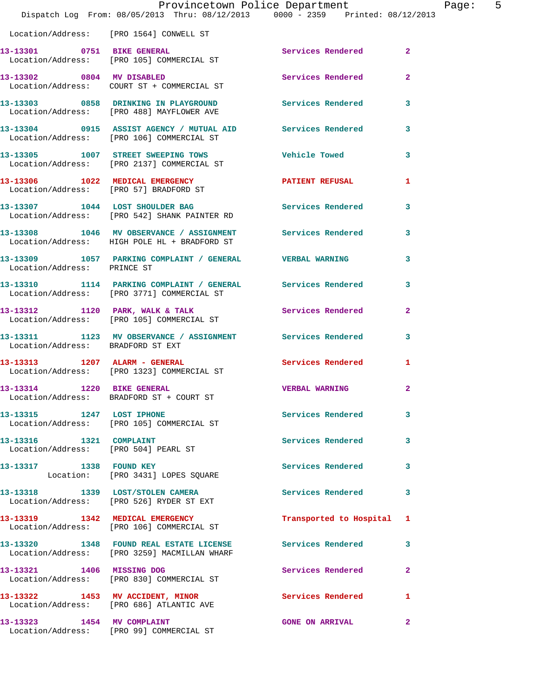|                                                                 | Provincetown Police Department<br>Dispatch Log From: 08/05/2013 Thru: 08/12/2013 0000 - 2359 Printed: 08/12/2013 |                          |                |
|-----------------------------------------------------------------|------------------------------------------------------------------------------------------------------------------|--------------------------|----------------|
|                                                                 | Location/Address: [PRO 1564] CONWELL ST                                                                          |                          |                |
|                                                                 | 13-13301 0751 BIKE GENERAL<br>Location/Address: [PRO 105] COMMERCIAL ST                                          | Services Rendered        | $\overline{2}$ |
| 13-13302 0804 MV DISABLED                                       | Location/Address: COURT ST + COMMERCIAL ST                                                                       | Services Rendered        | $\overline{a}$ |
|                                                                 | 13-13303 0858 DRINKING IN PLAYGROUND Services Rendered<br>Location/Address: [PRO 488] MAYFLOWER AVE              |                          | 3              |
|                                                                 | 13-13304 0915 ASSIST AGENCY / MUTUAL AID Services Rendered<br>Location/Address: [PRO 106] COMMERCIAL ST          |                          | 3              |
|                                                                 | 13-13305 1007 STREET SWEEPING TOWS<br>Location/Address: [PRO 2137] COMMERCIAL ST                                 | <b>Vehicle Towed</b>     | 3              |
|                                                                 | 13-13306 1022 MEDICAL EMERGENCY<br>Location/Address: [PRO 57] BRADFORD ST                                        | <b>PATIENT REFUSAL</b>   | 1              |
|                                                                 | 13-13307 1044 LOST SHOULDER BAG<br>Location/Address: [PRO 542] SHANK PAINTER RD                                  | Services Rendered        | 3              |
|                                                                 | 13-13308 1046 MV OBSERVANCE / ASSIGNMENT Services Rendered<br>Location/Address: HIGH POLE HL + BRADFORD ST       |                          | 3              |
| Location/Address: PRINCE ST                                     | 13-13309 1057 PARKING COMPLAINT / GENERAL VERBAL WARNING                                                         |                          | 3              |
|                                                                 | 13-13310 1114 PARKING COMPLAINT / GENERAL Services Rendered<br>Location/Address: [PRO 3771] COMMERCIAL ST        |                          | 3              |
|                                                                 | 13-13312 1120 PARK, WALK & TALK<br>Location/Address: [PRO 105] COMMERCIAL ST                                     | Services Rendered        | $\overline{a}$ |
| Location/Address: BRADFORD ST EXT                               | 13-13311 1123 MV OBSERVANCE / ASSIGNMENT Services Rendered                                                       |                          | 3              |
|                                                                 | 13-13313 1207 ALARM - GENERAL<br>Location/Address: [PRO 1323] COMMERCIAL ST                                      | <b>Services Rendered</b> | 1              |
| 13-13314 1220 BIKE GENERAL                                      | Location/Address: BRADFORD ST + COURT ST                                                                         | <b>VERBAL WARNING</b>    | $\mathbf{2}$   |
| 13-13315 1247 LOST IPHONE                                       | Location/Address: [PRO 105] COMMERCIAL ST                                                                        | <b>Services Rendered</b> | 3              |
| 13-13316 1321 COMPLAINT<br>Location/Address: [PRO 504] PEARL ST |                                                                                                                  | <b>Services Rendered</b> | 3              |
| 13-13317 1338 FOUND KEY                                         | Location: [PRO 3431] LOPES SQUARE                                                                                | Services Rendered        | 3              |
|                                                                 | 13-13318 1339 LOST/STOLEN CAMERA<br>Location/Address: [PRO 526] RYDER ST EXT                                     | <b>Services Rendered</b> | 3              |
|                                                                 | 13-13319 1342 MEDICAL EMERGENCY<br>Location/Address: [PRO 106] COMMERCIAL ST                                     | Transported to Hospital  | 1              |
|                                                                 | 13-13320 1348 FOUND REAL ESTATE LICENSE Services Rendered<br>Location/Address: [PRO 3259] MACMILLAN WHARF        |                          | 3              |
| 13-13321 1406 MISSING DOG                                       | Location/Address: [PRO 830] COMMERCIAL ST                                                                        | Services Rendered        | $\mathbf{2}$   |
|                                                                 | 13-13322 1453 MV ACCIDENT, MINOR<br>Location/Address: [PRO 686] ATLANTIC AVE                                     | Services Rendered        | 1              |
| 13-13323 1454 MV COMPLAINT                                      |                                                                                                                  | <b>GONE ON ARRIVAL</b>   | $\mathbf{2}$   |

Location/Address: [PRO 99] COMMERCIAL ST

Page:  $5<sub>13</sub>$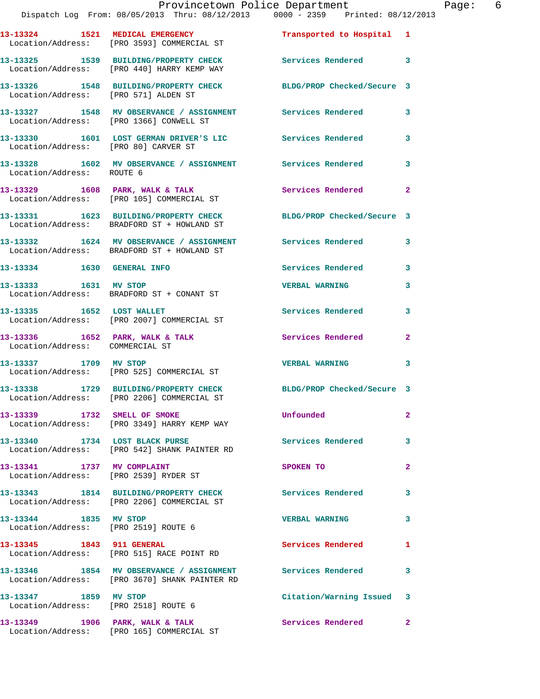|                                                               | Provincetown Police Department<br>Dispatch Log From: 08/05/2013 Thru: 08/12/2013   0000 - 2359   Printed: 08/12/2013 |                            | Page: 6      |
|---------------------------------------------------------------|----------------------------------------------------------------------------------------------------------------------|----------------------------|--------------|
|                                                               | 13-13324 1521 MEDICAL EMERGENCY Transported to Hospital 1<br>Location/Address: [PRO 3593] COMMERCIAL ST              |                            |              |
|                                                               | 13-13325 1539 BUILDING/PROPERTY CHECK Services Rendered 3<br>Location/Address: [PRO 440] HARRY KEMP WAY              |                            |              |
|                                                               | 13-13326 1548 BUILDING/PROPERTY CHECK BLDG/PROP Checked/Secure 3<br>Location/Address: [PRO 571] ALDEN ST             |                            |              |
|                                                               | 13-13327 1548 MV OBSERVANCE / ASSIGNMENT Services Rendered 3<br>Location/Address: [PRO 1366] CONWELL ST              |                            |              |
| Location/Address: [PRO 80] CARVER ST                          | 13-13330 1601 LOST GERMAN DRIVER'S LIC Services Rendered 3                                                           |                            |              |
| Location/Address: ROUTE 6                                     | 13-13328 1602 MV OBSERVANCE / ASSIGNMENT Services Rendered 3                                                         |                            |              |
|                                                               | 13-13329 1608 PARK, WALK & TALK 1988 Services Rendered 2<br>Location/Address: [PRO 105] COMMERCIAL ST                |                            |              |
|                                                               | 13-13331 1623 BUILDING/PROPERTY CHECK BLDG/PROP Checked/Secure 3<br>Location/Address: BRADFORD ST + HOWLAND ST       |                            |              |
|                                                               | 13-13332 1624 MV OBSERVANCE / ASSIGNMENT Services Rendered 3<br>Location/Address: BRADFORD ST + HOWLAND ST           |                            |              |
|                                                               | 13-13334 1630 GENERAL INFO                                                                                           | Services Rendered 3        |              |
|                                                               | 13-13333 1631 MV STOP<br>Location/Address: BRADFORD ST + CONANT ST                                                   | <b>VERBAL WARNING</b>      | 3            |
|                                                               | 13-13335 1652 LOST WALLET<br>Location/Address: [PRO 2007] COMMERCIAL ST                                              | Services Rendered 3        |              |
| Location/Address: COMMERCIAL ST                               | 13-13336 1652 PARK, WALK & TALK 1988 Services Rendered                                                               |                            | $\mathbf{2}$ |
| 13-13337 1709 MV STOP                                         | Location/Address: [PRO 525] COMMERCIAL ST                                                                            | VERBAL WARNING 3           |              |
|                                                               | 13-13338 1729 BUILDING/PROPERTY CHECK<br>Location/Address: [PRO 2206] COMMERCIAL ST                                  | BLDG/PROP Checked/Secure 3 |              |
|                                                               | 13-13339 1732 SMELL OF SMOKE<br>Location/Address: [PRO 3349] HARRY KEMP WAY                                          | Unfounded                  | $\mathbf{2}$ |
|                                                               | 13-13340 1734 LOST BLACK PURSE<br>Location/Address: [PRO 542] SHANK PAINTER RD                                       | Services Rendered 3        |              |
| 13-13341 1737 MV COMPLAINT                                    | Location/Address: [PRO 2539] RYDER ST                                                                                | SPOKEN TO                  | $\mathbf{2}$ |
|                                                               | 13-13343 1814 BUILDING/PROPERTY CHECK Services Rendered<br>Location/Address: [PRO 2206] COMMERCIAL ST                |                            | 3            |
| 13-13344 1835 MV STOP                                         | Location/Address: [PRO 2519] ROUTE 6                                                                                 | <b>VERBAL WARNING</b>      | 3            |
|                                                               | 13-13345 1843 911 GENERAL<br>Location/Address: [PRO 515] RACE POINT RD                                               | Services Rendered          | 1            |
|                                                               | 13-13346 1854 MV OBSERVANCE / ASSIGNMENT Services Rendered 3<br>Location/Address: [PRO 3670] SHANK PAINTER RD        |                            |              |
| 13-13347 1859 MV STOP<br>Location/Address: [PRO 2518] ROUTE 6 |                                                                                                                      | Citation/Warning Issued 3  |              |
|                                                               | 13-13349 1906 PARK, WALK & TALK                                                                                      | Services Rendered 2        |              |

Location/Address: [PRO 165] COMMERCIAL ST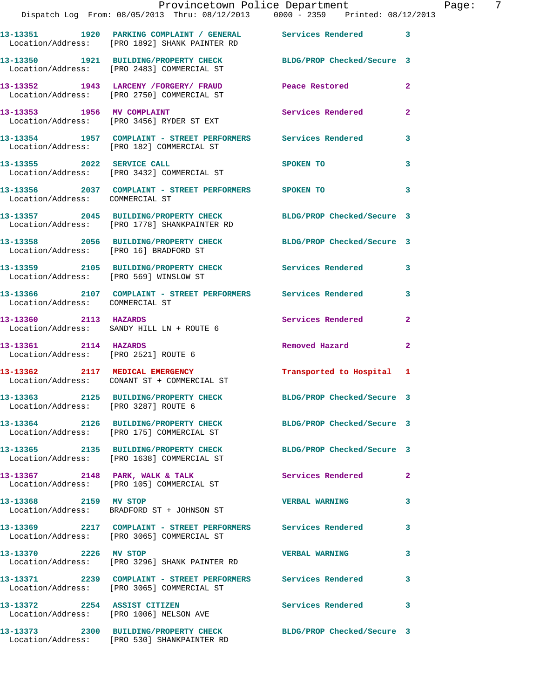|                                        | Provincetown Police Department Fage: 7<br>Dispatch Log From: 08/05/2013 Thru: 08/12/2013 0000 - 2359 Printed: 08/12/2013 |                            |              |
|----------------------------------------|--------------------------------------------------------------------------------------------------------------------------|----------------------------|--------------|
|                                        | 13-13351 1920 PARKING COMPLAINT / GENERAL Services Rendered 3<br>Location/Address: [PRO 1892] SHANK PAINTER RD           |                            |              |
|                                        | 13-13350 1921 BUILDING/PROPERTY CHECK BLDG/PROP Checked/Secure 3<br>Location/Address: [PRO 2483] COMMERCIAL ST           |                            |              |
|                                        | 13-13352 1943 LARCENY / FORGERY / FRAUD Peace Restored<br>Location/Address: [PRO 2750] COMMERCIAL ST                     |                            | 2            |
|                                        | 13-13353 1956 MV COMPLAINT<br>Location/Address: [PRO 3456] RYDER ST EXT                                                  | Services Rendered          | $\mathbf{2}$ |
|                                        | 13-13354     1957   COMPLAINT - STREET PERFORMERS     Services Rendered<br>Location/Address:   [PRO 182] COMMERCIAL ST   |                            | $\mathbf{3}$ |
|                                        | 13-13355 2022 SERVICE CALL<br>Location/Address: [PRO 3432] COMMERCIAL ST                                                 | <b>SPOKEN TO</b>           | 3            |
| Location/Address: COMMERCIAL ST        | 13-13356 2037 COMPLAINT - STREET PERFORMERS SPOKEN TO                                                                    |                            | 3            |
|                                        | 13-13357 2045 BUILDING/PROPERTY CHECK BLDG/PROP Checked/Secure 3<br>Location/Address: [PRO 1778] SHANKPAINTER RD         |                            |              |
|                                        | 13-13358 2056 BUILDING/PROPERTY CHECK BLDG/PROP Checked/Secure 3<br>Location/Address: [PRO 16] BRADFORD ST               |                            |              |
| Location/Address: [PRO 569] WINSLOW ST | 13-13359 2105 BUILDING/PROPERTY CHECK Services Rendered                                                                  |                            | 3            |
| Location/Address: COMMERCIAL ST        | 13-13366 2107 COMPLAINT - STREET PERFORMERS Services Rendered 3                                                          |                            |              |
|                                        | 13-13360 2113 HAZARDS<br>Location/Address: SANDY HILL LN + ROUTE 6                                                       | Services Rendered          | $\mathbf{2}$ |
| 13-13361 2114 HAZARDS                  | Location/Address: [PRO 2521] ROUTE 6                                                                                     | Removed Hazard             | $\mathbf{2}$ |
|                                        | 13-13362 2117 MEDICAL EMERGENCY<br>Location/Address: CONANT ST + COMMERCIAL ST                                           | Transported to Hospital 1  |              |
| Location/Address: [PRO 3287] ROUTE 6   | 13-13363 2125 BUILDING/PROPERTY CHECK                                                                                    | BLDG/PROP Checked/Secure 3 |              |
|                                        | 13-13364 2126 BUILDING/PROPERTY CHECK BLDG/PROP Checked/Secure 3<br>Location/Address: [PRO 175] COMMERCIAL ST            |                            |              |
|                                        | 13-13365 2135 BUILDING/PROPERTY CHECK<br>Location/Address: [PRO 1638] COMMERCIAL ST                                      | BLDG/PROP Checked/Secure 3 |              |
|                                        | 13-13367 2148 PARK, WALK & TALK<br>Location/Address: [PRO 105] COMMERCIAL ST                                             | Services Rendered          | $\mathbf{2}$ |
| 13-13368 2159 MV STOP                  | Location/Address: BRADFORD ST + JOHNSON ST                                                                               | <b>VERBAL WARNING</b>      | 3            |
|                                        | 13-13369 2217 COMPLAINT - STREET PERFORMERS Services Rendered<br>Location/Address: [PRO 3065] COMMERCIAL ST              |                            | 3            |
| 13-13370 2226 MV STOP                  | Location/Address: [PRO 3296] SHANK PAINTER RD                                                                            | <b>VERBAL WARNING</b>      | 3            |
|                                        | 13-13371 2239 COMPLAINT - STREET PERFORMERS Services Rendered<br>Location/Address: [PRO 3065] COMMERCIAL ST              |                            | 3            |
| 13-13372 2254 ASSIST CITIZEN           | Location/Address: [PRO 1006] NELSON AVE                                                                                  | Services Rendered          | 3            |
|                                        | 13-13373 2300 BUILDING/PROPERTY CHECK BLDG/PROP Checked/Secure 3                                                         |                            |              |

Location/Address: [PRO 530] SHANKPAINTER RD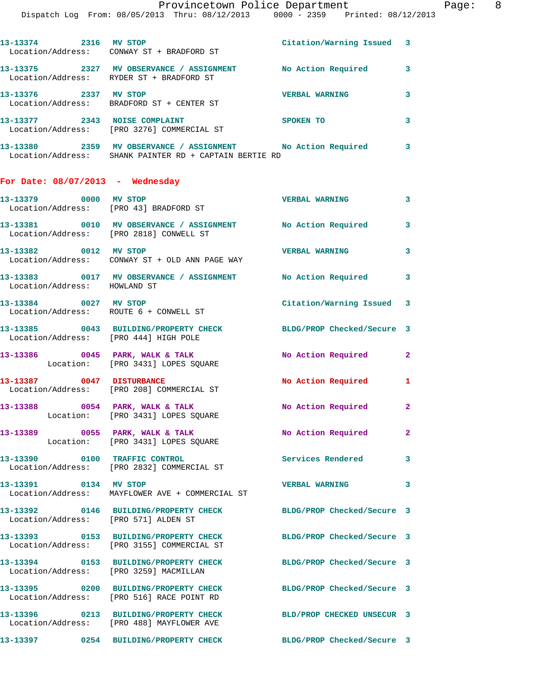| 13-13387 0047 DISTURBANCE          |                                                                                                                       | No Action Required 1      |                         |
|------------------------------------|-----------------------------------------------------------------------------------------------------------------------|---------------------------|-------------------------|
|                                    | 13-13386 0045 PARK, WALK & TALK 1999 No Action Required<br>Location: [PRO 3431] LOPES SQUARE                          |                           | $\mathbf{2}$            |
|                                    | 13-13385 0043 BUILDING/PROPERTY CHECK BLDG/PROP Checked/Secure 3<br>Location/Address: [PRO 444] HIGH POLE             |                           |                         |
|                                    | 13-13384 0027 MV STOP<br>Location/Address: ROUTE 6 + CONWELL ST                                                       | Citation/Warning Issued 3 |                         |
| Location/Address: HOWLAND ST       | 13-13383 0017 MV OBSERVANCE / ASSIGNMENT No Action Required                                                           |                           | $\overline{\mathbf{3}}$ |
| 13-13382 0012 MV STOP              | Location/Address: CONWAY ST + OLD ANN PAGE WAY                                                                        | <b>VERBAL WARNING</b>     | 3                       |
|                                    | 13-13381 0010 MV OBSERVANCE / ASSIGNMENT No Action Required<br>Location/Address: [PRO 2818] CONWELL ST                |                           | $\mathbf{3}$            |
|                                    | 13-13379 0000 MV STOP<br>Location/Address: [PRO 43] BRADFORD ST                                                       | <b>VERBAL WARNING</b>     | $\mathbf{3}$            |
| For Date: $08/07/2013$ - Wednesday |                                                                                                                       |                           |                         |
|                                    | 13-13380 2359 MV OBSERVANCE / ASSIGNMENT No Action Required<br>Location/Address: SHANK PAINTER RD + CAPTAIN BERTIE RD |                           | $\mathbf{3}$            |
|                                    | 13-13377 2343 NOISE COMPLAINT<br>Location/Address: [PRO 3276] COMMERCIAL ST                                           | SPOKEN TO                 | 3                       |
|                                    | 13-13376 2337 MV STOP<br>Location/Address: BRADFORD ST + CENTER ST                                                    | <b>VERBAL WARNING</b>     | 3                       |
|                                    | 13-13375 2327 MV OBSERVANCE / ASSIGNMENT No Action Required 3<br>Location/Address: RYDER ST + BRADFORD ST             |                           |                         |
|                                    | 13-13374 2316 MV STOP<br>Location/Address: CONWAY ST + BRADFORD ST                                                    | Citation/Warning Issued 3 |                         |
|                                    | Provincetown Police Department<br>Dispatch Log From: 08/05/2013 Thru: 08/12/2013 0000 - 2359 Printed: 08/12/2013      |                           |                         |

 Location/Address: [PRO 208] COMMERCIAL ST 13-13388 0054 PARK, WALK & TALK **No Action Required** 2

 Location: [PRO 3431] LOPES SQUARE **13-13389 0055 PARK, WALK & TALK No Action Required 2** 

 Location: [PRO 3431] LOPES SQUARE **13-13390 0100 TRAFFIC CONTROL Services Rendered 3**  Location/Address: [PRO 2832] COMMERCIAL ST

**13-13391 0134 MV STOP VERBAL WARNING 3**  Location/Address: MAYFLOWER AVE + COMMERCIAL ST

**13-13392 0146 BUILDING/PROPERTY CHECK BLDG/PROP Checked/Secure 3**  Location/Address: [PRO 571] ALDEN ST

**13-13393 0153 BUILDING/PROPERTY CHECK BLDG/PROP Checked/Secure 3** 

**13-13395 0200 BUILDING/PROPERTY CHECK BLDG/PROP Checked/Secure 3** 

 Location/Address: [PRO 3155] COMMERCIAL ST **13-13394 0153 BUILDING/PROPERTY CHECK BLDG/PROP Checked/Secure 3**  Location/Address: [PRO 3259] MACMILLAN

Location/Address: [PRO 516] RACE POINT RD

**13-13396 0213 BUILDING/PROPERTY CHECK BLD/PROP CHECKED UNSECUR 3**  Location/Address: [PRO 488] MAYFLOWER AVE

**13-13397 0254 BUILDING/PROPERTY CHECK BLDG/PROP Checked/Secure 3** 

Page: 8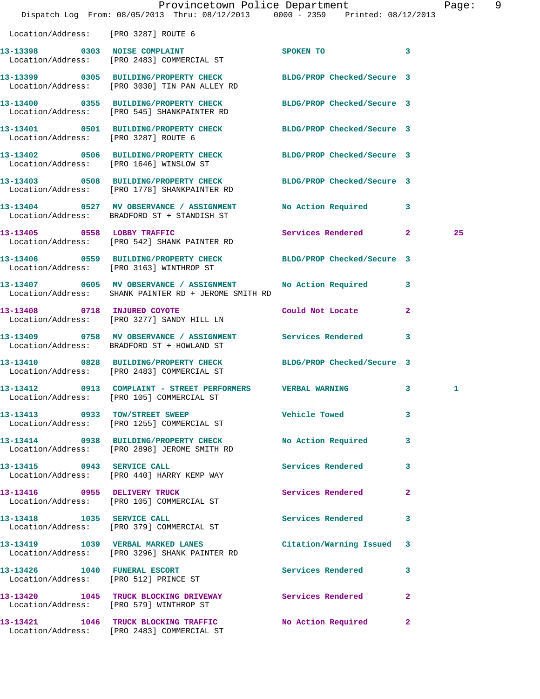|                                      | Provincetown Police Department<br>Dispatch Log From: 08/05/2013 Thru: 08/12/2013 0000 - 2359 Printed: 08/12/2013  |                            |              | Page: | 9 |
|--------------------------------------|-------------------------------------------------------------------------------------------------------------------|----------------------------|--------------|-------|---|
| Location/Address: [PRO 3287] ROUTE 6 |                                                                                                                   |                            |              |       |   |
|                                      | 13-13398 0303 NOISE COMPLAINT<br>Location/Address: [PRO 2483] COMMERCIAL ST                                       | SPOKEN TO                  | 3            |       |   |
|                                      | 13-13399 0305 BUILDING/PROPERTY CHECK BLDG/PROP Checked/Secure 3<br>Location/Address: [PRO 3030] TIN PAN ALLEY RD |                            |              |       |   |
|                                      | 13-13400 0355 BUILDING/PROPERTY CHECK<br>Location/Address: [PRO 545] SHANKPAINTER RD                              | BLDG/PROP Checked/Secure 3 |              |       |   |
| Location/Address: [PRO 3287] ROUTE 6 | 13-13401 0501 BUILDING/PROPERTY CHECK BLDG/PROP Checked/Secure 3                                                  |                            |              |       |   |
|                                      | 13-13402 0506 BUILDING/PROPERTY CHECK BLDG/PROP Checked/Secure 3<br>Location/Address: [PRO 1646] WINSLOW ST       |                            |              |       |   |
|                                      | 13-13403 0508 BUILDING/PROPERTY CHECK<br>Location/Address: [PRO 1778] SHANKPAINTER RD                             | BLDG/PROP Checked/Secure 3 |              |       |   |
|                                      | 13-13404 0527 MV OBSERVANCE / ASSIGNMENT<br>Location/Address: BRADFORD ST + STANDISH ST                           | No Action Required 3       |              |       |   |
|                                      | 13-13405 0558 LOBBY TRAFFIC<br>Location/Address: [PRO 542] SHANK PAINTER RD                                       | Services Rendered 2        |              | 25    |   |
|                                      | 13-13406 0559 BUILDING/PROPERTY CHECK BLDG/PROP Checked/Secure 3<br>Location/Address: [PRO 3163] WINTHROP ST      |                            |              |       |   |
|                                      | 13-13407 0605 MV OBSERVANCE / ASSIGNMENT<br>Location/Address: SHANK PAINTER RD + JEROME SMITH RD                  | No Action Required 3       |              |       |   |
| 13-13408 0718 INJURED COYOTE         | Location/Address: [PRO 3277] SANDY HILL LN                                                                        | Could Not Locate           | $\mathbf{2}$ |       |   |
|                                      | 13-13409 0758 MV OBSERVANCE / ASSIGNMENT<br>Location/Address: BRADFORD ST + HOWLAND ST                            | Services Rendered          | 3            |       |   |
|                                      | 13-13410 0828 BUILDING/PROPERTY CHECK<br>Location/Address: [PRO 2483] COMMERCIAL ST                               | BLDG/PROP Checked/Secure 3 |              |       |   |
| 0913<br>13-13412                     | COMPLAINT - STREET PERFORMERS VERBAL WARNING<br>Location/Address: [PRO 105] COMMERCIAL ST                         |                            | 3            | 1     |   |
|                                      | 13-13413 0933 TOW/STREET SWEEP<br>Location/Address: [PRO 1255] COMMERCIAL ST                                      | <b>Vehicle Towed</b>       | 3            |       |   |
|                                      | 13-13414 0938 BUILDING/PROPERTY CHECK<br>Location/Address: [PRO 2898] JEROME SMITH RD                             | No Action Required         | $\mathbf{3}$ |       |   |
|                                      | 13-13415 0943 SERVICE CALL<br>Location/Address: [PRO 440] HARRY KEMP WAY                                          | Services Rendered 3        |              |       |   |
|                                      | 13-13416 0955 DELIVERY TRUCK<br>Location/Address: [PRO 105] COMMERCIAL ST                                         | Services Rendered          | $\mathbf{2}$ |       |   |
|                                      | 13-13418    1035    SERVICE CALL<br>Location/Address: [PRO 379] COMMERCIAL ST                                     | Services Rendered 3        |              |       |   |
|                                      | 13-13419 1039 VERBAL MARKED LANES<br>Location/Address: [PRO 3296] SHANK PAINTER RD                                | Citation/Warning Issued 3  |              |       |   |
|                                      | 13-13426 1040 FUNERAL ESCORT<br>Location/Address: [PRO 512] PRINCE ST                                             | Services Rendered 3        |              |       |   |
|                                      | 13-13420 1045 TRUCK BLOCKING DRIVEWAY Services Rendered<br>Location/Address: [PRO 579] WINTHROP ST                |                            | $\mathbf{2}$ |       |   |
|                                      | 13-13421 1046 TRUCK BLOCKING TRAFFIC<br>Location/Address: [PRO 2483] COMMERCIAL ST                                | No Action Required 2       |              |       |   |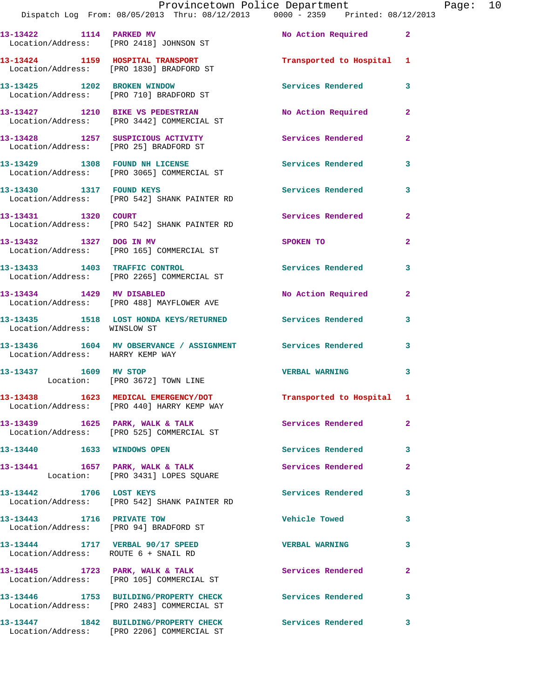|  | Provincetown Police Department |                                                                                | Page: $10$ |  |
|--|--------------------------------|--------------------------------------------------------------------------------|------------|--|
|  |                                | Dispatch Log From: 08/05/2013 Thru: 08/12/2013 0000 - 2359 Printed: 08/12/2013 |            |  |

| 13-13422 1114 PARKED MV                                                  | Location/Address: [PRO 2418] JOHNSON ST                                             | No Action Required         | $\overline{\mathbf{2}}$ |
|--------------------------------------------------------------------------|-------------------------------------------------------------------------------------|----------------------------|-------------------------|
|                                                                          | 13-13424 1159 HOSPITAL TRANSPORT<br>Location/Address: [PRO 1830] BRADFORD ST        | Transported to Hospital 1  |                         |
| 13-13425 1202 BROKEN WINDOW                                              | Location/Address: [PRO 710] BRADFORD ST                                             | Services Rendered          | 3                       |
|                                                                          | 13-13427 1210 BIKE VS PEDESTRIAN<br>Location/Address: [PRO 3442] COMMERCIAL ST      | No Action Required         | $\overline{2}$          |
|                                                                          | 13-13428 1257 SUSPICIOUS ACTIVITY<br>Location/Address: [PRO 25] BRADFORD ST         | Services Rendered          | $\mathbf{2}$            |
|                                                                          | 13-13429 1308 FOUND NH LICENSE<br>Location/Address: [PRO 3065] COMMERCIAL ST        | <b>Services Rendered</b>   | 3                       |
| 13-13430 1317 FOUND KEYS                                                 | Location/Address: [PRO 542] SHANK PAINTER RD                                        | <b>Services Rendered</b>   | 3                       |
| 13-13431 1320 COURT                                                      | Location/Address: [PRO 542] SHANK PAINTER RD                                        | Services Rendered          | $\overline{2}$          |
| 13-13432 1327 DOG IN MV                                                  | Location/Address: [PRO 165] COMMERCIAL ST                                           | SPOKEN TO                  | $\overline{a}$          |
|                                                                          | 13-13433 1403 TRAFFIC CONTROL<br>Location/Address: [PRO 2265] COMMERCIAL ST         | <b>Services Rendered</b>   | $\mathbf{3}$            |
| 13-13434 1429 MV DISABLED                                                | Location/Address: [PRO 488] MAYFLOWER AVE                                           | <b>No Action Required</b>  | $\overline{2}$          |
| Location/Address: WINSLOW ST                                             | 13-13435 1518 LOST HONDA KEYS/RETURNED Services Rendered                            |                            | 3                       |
| Location/Address: HARRY KEMP WAY                                         | 13-13436 1604 MV OBSERVANCE / ASSIGNMENT Services Rendered                          |                            | $\mathbf{3}$            |
| 13-13437 1609 MV STOP                                                    | Location: [PRO 3672] TOWN LINE                                                      | <b>VERBAL WARNING</b>      | 3                       |
|                                                                          | 13-13438 1623 MEDICAL EMERGENCY/DOT<br>Location/Address: [PRO 440] HARRY KEMP WAY   | Transported to Hospital 1  |                         |
| $13-13439$ $1625$ PARK, WALK & TALK                                      | Location/Address: [PRO 525] COMMERCIAL ST                                           | Services Rendered          | $\mathbf{2}$            |
| 13-13440 1633 WINDOWS OPEN                                               |                                                                                     | Services Rendered          | 3                       |
| 13-13441                                                                 | 1657 PARK, WALK & TALK<br>Location: [PRO 3431] LOPES SQUARE                         | Services Rendered          | $\mathbf{2}$            |
| 13-13442 1706 LOST KEYS                                                  | Location/Address: [PRO 542] SHANK PAINTER RD                                        | Services Rendered          | 3                       |
| 13-13443 1716 PRIVATE TOW                                                | Location/Address: [PRO 94] BRADFORD ST                                              | <b>Vehicle Towed</b>       | 3                       |
| 13-13444 1717 VERBAL 90/17 SPEED<br>Location/Address: ROUTE 6 + SNAIL RD |                                                                                     | <b>VERBAL WARNING</b>      | 3                       |
|                                                                          | 13-13445 1723 PARK, WALK & TALK<br>Location/Address: [PRO 105] COMMERCIAL ST        | Services Rendered          | $\overline{2}$          |
|                                                                          | 13-13446 1753 BUILDING/PROPERTY CHECK<br>Location/Address: [PRO 2483] COMMERCIAL ST | <b>Services Rendered</b>   | 3                       |
|                                                                          | 13-13447 1842 BUILDING/PROPERTY CHECK<br>Location/Address: [PRO 2206] COMMERCIAL ST | <b>Services Rendered</b> 3 |                         |
|                                                                          |                                                                                     |                            |                         |
|                                                                          |                                                                                     |                            |                         |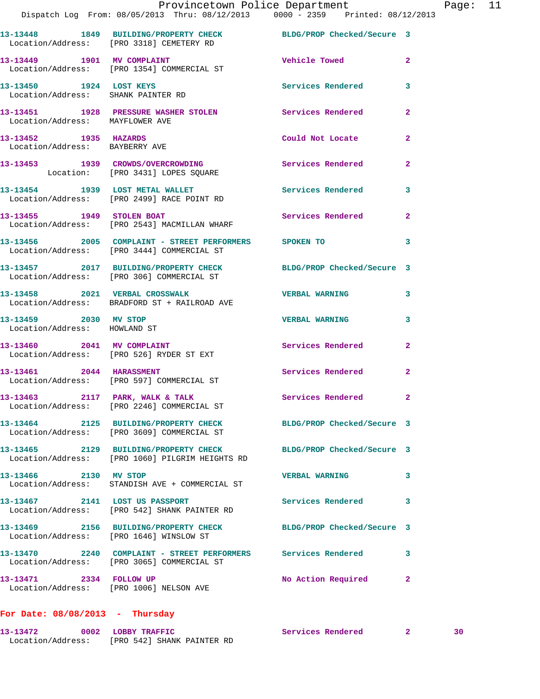|                                                       | Provincetown Police Department The Page: 11<br>Dispatch Log From: 08/05/2013 Thru: 08/12/2013 0000 - 2359 Printed: 08/12/2013 |                            |                |  |
|-------------------------------------------------------|-------------------------------------------------------------------------------------------------------------------------------|----------------------------|----------------|--|
|                                                       | 13-13448 1849 BUILDING/PROPERTY CHECK BLDG/PROP Checked/Secure 3<br>Location/Address: [PRO 3318] CEMETERY RD                  |                            |                |  |
|                                                       | 13-13449 1901 MV COMPLAINT 1901 Vehicle Towed 2<br>Location/Address: [PRO 1354] COMMERCIAL ST                                 |                            |                |  |
| 13-13450 1924 LOST KEYS                               | Location/Address: SHANK PAINTER RD                                                                                            | Services Rendered 3        |                |  |
| Location/Address: MAYFLOWER AVE                       | 13-13451 1928 PRESSURE WASHER STOLEN Services Rendered                                                                        |                            | $\overline{2}$ |  |
| 13-13452 1935 HAZARDS                                 | Location/Address: BAYBERRY AVE                                                                                                | Could Not Locate 2         |                |  |
|                                                       | 13-13453 1939 CROWDS/OVERCROWDING Services Rendered<br>Location: [PRO 3431] LOPES SQUARE                                      |                            | $\mathbf{2}$   |  |
|                                                       | 13-13454 1939 LOST METAL WALLET Services Rendered 3<br>Location/Address: [PRO 2499] RACE POINT RD                             |                            |                |  |
|                                                       | 13-13455 1949 STOLEN BOAT<br>Location/Address: [PRO 2543] MACMILLAN WHARF                                                     | Services Rendered 2        |                |  |
|                                                       | 13-13456 2005 COMPLAINT - STREET PERFORMERS SPOKEN TO<br>Location/Address: [PRO 3444] COMMERCIAL ST                           |                            | $\mathbf{3}$   |  |
|                                                       | 13-13457 2017 BUILDING/PROPERTY CHECK BLDG/PROP Checked/Secure 3<br>Location/Address: [PRO 306] COMMERCIAL ST                 |                            |                |  |
|                                                       | 13-13458 2021 VERBAL CROSSWALK<br>Location/Address: BRADFORD ST + RAILROAD AVE                                                | <b>VERBAL WARNING</b>      | 3              |  |
| 13-13459 2030 MV STOP<br>Location/Address: HOWLAND ST |                                                                                                                               | <b>VERBAL WARNING</b>      | $\mathbf{3}$   |  |
|                                                       | 13-13460 2041 MV COMPLAINT<br>Location/Address: [PRO 526] RYDER ST EXT                                                        | Services Rendered          | $\mathbf{2}$   |  |
|                                                       | 13-13461 2044 HARASSMENT<br>Location/Address: [PRO 597] COMMERCIAL ST                                                         | Services Rendered 2        |                |  |
|                                                       | 13-13463 2117 PARK, WALK & TALK<br>Location/Address: [PRO 2246] COMMERCIAL ST                                                 | Services Rendered 2        |                |  |
|                                                       | 13-13464 2125 BUILDING/PROPERTY CHECK<br>Location/Address: [PRO 3609] COMMERCIAL ST                                           | BLDG/PROP Checked/Secure 3 |                |  |
|                                                       | 13-13465 2129 BUILDING/PROPERTY CHECK<br>Location/Address: [PRO 1060] PILGRIM HEIGHTS RD                                      | BLDG/PROP Checked/Secure 3 |                |  |
| 13-13466 2130 MV STOP                                 | Location/Address: STANDISH AVE + COMMERCIAL ST                                                                                | <b>VERBAL WARNING</b>      | 3              |  |
| 13-13467 2141 LOST US PASSPORT                        | Location/Address: [PRO 542] SHANK PAINTER RD                                                                                  | Services Rendered          | 3              |  |
|                                                       | 13-13469 2156 BUILDING/PROPERTY CHECK<br>Location/Address: [PRO 1646] WINSLOW ST                                              | BLDG/PROP Checked/Secure 3 |                |  |
|                                                       | 13-13470  2240  COMPLAINT - STREET PERFORMERS  Services Rendered<br>Location/Address: [PRO 3065] COMMERCIAL ST                |                            | 3              |  |
| 13-13471 2334 FOLLOW UP                               | Location/Address: [PRO 1006] NELSON AVE                                                                                       | No Action Required 2       |                |  |
|                                                       |                                                                                                                               |                            |                |  |

## **For Date: 08/08/2013 - Thursday**

**13-13472 0002 LOBBY TRAFFIC Services Rendered 2 30**  Location/Address: [PRO 542] SHANK PAINTER RD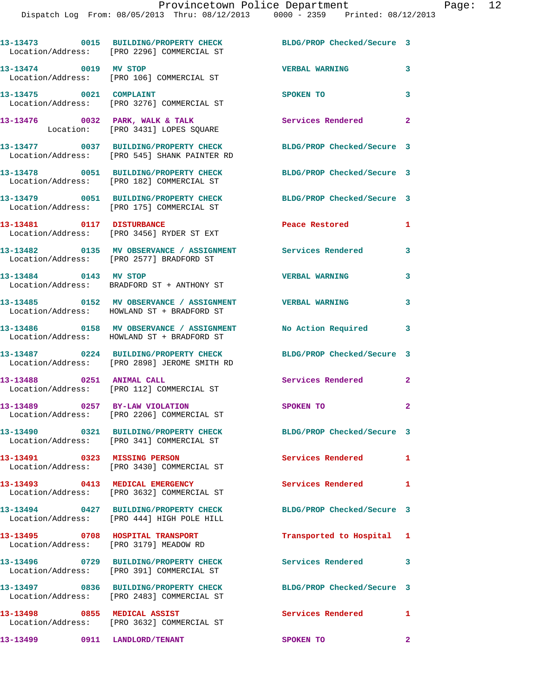|                                  | 13-13473 0015 BUILDING/PROPERTY CHECK<br>Location/Address: [PRO 2296] COMMERCIAL ST                         | BLDG/PROP Checked/Secure 3 |                |
|----------------------------------|-------------------------------------------------------------------------------------------------------------|----------------------------|----------------|
| 13-13474 0019 MV STOP            | Location/Address: [PRO 106] COMMERCIAL ST                                                                   | <b>VERBAL WARNING</b>      | 3              |
| 13-13475 0021 COMPLAINT          | Location/Address: [PRO 3276] COMMERCIAL ST                                                                  | SPOKEN TO                  | $\mathbf{3}$   |
|                                  | 13-13476 0032 PARK, WALK & TALK<br>Location: [PRO 3431] LOPES SQUARE                                        | Services Rendered          | $\overline{2}$ |
|                                  | 13-13477 0037 BUILDING/PROPERTY CHECK<br>Location/Address: [PRO 545] SHANK PAINTER RD                       | BLDG/PROP Checked/Secure 3 |                |
|                                  | 13-13478 0051 BUILDING/PROPERTY CHECK<br>Location/Address: [PRO 182] COMMERCIAL ST                          | BLDG/PROP Checked/Secure 3 |                |
|                                  | 13-13479 0051 BUILDING/PROPERTY CHECK<br>Location/Address: [PRO 175] COMMERCIAL ST                          | BLDG/PROP Checked/Secure 3 |                |
| 13-13481 0117 DISTURBANCE        | Location/Address: [PRO 3456] RYDER ST EXT                                                                   | Peace Restored             | $\mathbf{1}$   |
|                                  | 13-13482 0135 MV OBSERVANCE / ASSIGNMENT Services Rendered<br>Location/Address: [PRO 2577] BRADFORD ST      |                            | 3              |
| 13-13484 0143 MV STOP            | Location/Address: BRADFORD ST + ANTHONY ST                                                                  | <b>VERBAL WARNING</b>      | 3              |
|                                  | 13-13485 0152 MV OBSERVANCE / ASSIGNMENT VERBAL WARNING<br>Location/Address: HOWLAND ST + BRADFORD ST       |                            | 3              |
|                                  | 13-13486 0158 MV OBSERVANCE / ASSIGNMENT No Action Required 3<br>Location/Address: HOWLAND ST + BRADFORD ST |                            |                |
|                                  | 13-13487 0224 BUILDING/PROPERTY CHECK<br>Location/Address: [PRO 2898] JEROME SMITH RD                       | BLDG/PROP Checked/Secure 3 |                |
| 13-13488 0251 ANIMAL CALL        | Location/Address: [PRO 112] COMMERCIAL ST                                                                   | <b>Services Rendered</b>   | $\overline{2}$ |
|                                  | 13-13489 0257 BY-LAW VIOLATION<br>Location/Address: [PRO 2206] COMMERCIAL ST                                | SPOKEN TO                  | $\mathbf{2}$   |
|                                  | 13-13490 0321 BUILDING/PROPERTY CHECK<br>Location/Address: [PRO 341] COMMERCIAL ST                          | BLDG/PROP Checked/Secure 3 |                |
| 13-13491 0323 MISSING PERSON     | Location/Address: [PRO 3430] COMMERCIAL ST                                                                  | Services Rendered 1        |                |
| 13-13493 0413 MEDICAL EMERGENCY  | Location/Address: [PRO 3632] COMMERCIAL ST                                                                  | <b>Services Rendered</b>   | $\mathbf{1}$   |
|                                  | 13-13494 0427 BUILDING/PROPERTY CHECK<br>Location/Address: [PRO 444] HIGH POLE HILL                         | BLDG/PROP Checked/Secure 3 |                |
| 13-13495 0708 HOSPITAL TRANSPORT | Location/Address: [PRO 3179] MEADOW RD                                                                      | Transported to Hospital 1  |                |
|                                  | 13-13496 0729 BUILDING/PROPERTY CHECK<br>Location/Address: [PRO 391] COMMERCIAL ST                          | <b>Services Rendered</b>   | 3              |
|                                  | 13-13497 0836 BUILDING/PROPERTY CHECK<br>Location/Address: [PRO 2483] COMMERCIAL ST                         | BLDG/PROP Checked/Secure 3 |                |
|                                  | 13-13498 0855 MEDICAL ASSIST<br>Location/Address: [PRO 3632] COMMERCIAL ST                                  | Services Rendered          | 1              |
| 13-13499 0911 LANDLORD/TENANT    |                                                                                                             | SPOKEN TO                  | $\mathbf{2}$   |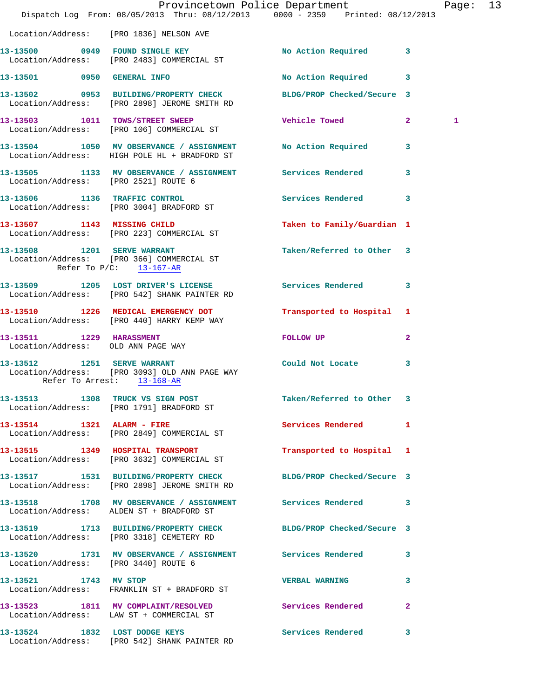|                                                        | Dispatch Log From: 08/05/2013 Thru: 08/12/2013 0000 - 2359 Printed: 08/12/2013                                   | Provincetown Police Department Page: 13 |              |   |  |
|--------------------------------------------------------|------------------------------------------------------------------------------------------------------------------|-----------------------------------------|--------------|---|--|
|                                                        | Location/Address: [PRO 1836] NELSON AVE                                                                          |                                         |              |   |  |
|                                                        | 13-13500 0949 FOUND SINGLE KEY<br>Location/Address: [PRO 2483] COMMERCIAL ST                                     | No Action Required 3                    |              |   |  |
|                                                        | 13-13501 0950 GENERAL INFO                                                                                       | No Action Required 3                    |              |   |  |
|                                                        | 13-13502 0953 BUILDING/PROPERTY CHECK BLDG/PROP Checked/Secure 3<br>Location/Address: [PRO 2898] JEROME SMITH RD |                                         |              |   |  |
|                                                        | 13-13503 1011 TOWS/STREET SWEEP<br>Location/Address: [PRO 106] COMMERCIAL ST                                     | Vehicle Towed 2                         |              | 1 |  |
|                                                        | 13-13504 1050 MV OBSERVANCE / ASSIGNMENT No Action Required 3<br>Location/Address: HIGH POLE HL + BRADFORD ST    |                                         |              |   |  |
| Location/Address: [PRO 2521] ROUTE 6                   | 13-13505 1133 MV OBSERVANCE / ASSIGNMENT Services Rendered                                                       |                                         | 3            |   |  |
|                                                        | 13-13506 1136 TRAFFIC CONTROL<br>Location/Address: [PRO 3004] BRADFORD ST                                        | Services Rendered 3                     |              |   |  |
|                                                        | 13-13507 1143 MISSING CHILD<br>Location/Address: [PRO 223] COMMERCIAL ST                                         | Taken to Family/Guardian 1              |              |   |  |
| 13-13508 1201 SERVE WARRANT<br>Refer To P/C: 13-167-AR | Location/Address: [PRO 366] COMMERCIAL ST                                                                        | Taken/Referred to Other 3               |              |   |  |
|                                                        | 13-13509 1205 LOST DRIVER'S LICENSE<br>Location/Address: [PRO 542] SHANK PAINTER RD                              | Services Rendered 3                     |              |   |  |
|                                                        | 13-13510 1226 MEDICAL EMERGENCY DOT<br>Location/Address: [PRO 440] HARRY KEMP WAY                                | Transported to Hospital 1               |              |   |  |
| 13-13511 1229 HARASSMENT                               | Location/Address: OLD ANN PAGE WAY                                                                               | FOLLOW UP                               | $\mathbf{2}$ |   |  |
| Refer To Arrest: 13-168-AR                             | 13-13512 1251 SERVE WARRANT<br>Location/Address: [PRO 3093] OLD ANN PAGE WAY                                     | Could Not Locate                        | 3            |   |  |
|                                                        | 13-13513 1308 TRUCK VS SIGN POST<br>Location/Address: [PRO 1791] BRADFORD ST                                     | Taken/Referred to Other 3               |              |   |  |
|                                                        | 13-13514 1321 ALARM - FIRE<br>Location/Address: [PRO 2849] COMMERCIAL ST                                         | Services Rendered 1                     |              |   |  |
|                                                        | 13-13515 1349 HOSPITAL TRANSPORT<br>Location/Address: [PRO 3632] COMMERCIAL ST                                   | Transported to Hospital 1               |              |   |  |
|                                                        | 13-13517 1531 BUILDING/PROPERTY CHECK BLDG/PROP Checked/Secure 3<br>Location/Address: [PRO 2898] JEROME SMITH RD |                                         |              |   |  |
|                                                        | 13-13518 1708 MV OBSERVANCE / ASSIGNMENT Services Rendered 3<br>Location/Address: ALDEN ST + BRADFORD ST         |                                         |              |   |  |
|                                                        | 13-13519 1713 BUILDING/PROPERTY CHECK BLDG/PROP Checked/Secure 3<br>Location/Address: [PRO 3318] CEMETERY RD     |                                         |              |   |  |
| Location/Address: [PRO 3440] ROUTE 6                   | 13-13520 1731 MV OBSERVANCE / ASSIGNMENT Services Rendered 3                                                     |                                         |              |   |  |
| 13-13521 1743 MV STOP                                  | Location/Address: FRANKLIN ST + BRADFORD ST                                                                      | <b>VERBAL WARNING</b>                   | 3            |   |  |
|                                                        | 13-13523 1811 MV COMPLAINT/RESOLVED Services Rendered 2<br>Location/Address: LAW ST + COMMERCIAL ST              |                                         |              |   |  |
|                                                        | 13-13524 1832 LOST DODGE KEYS<br>Location/Address: [PRO 542] SHANK PAINTER RD                                    | Services Rendered                       | 3            |   |  |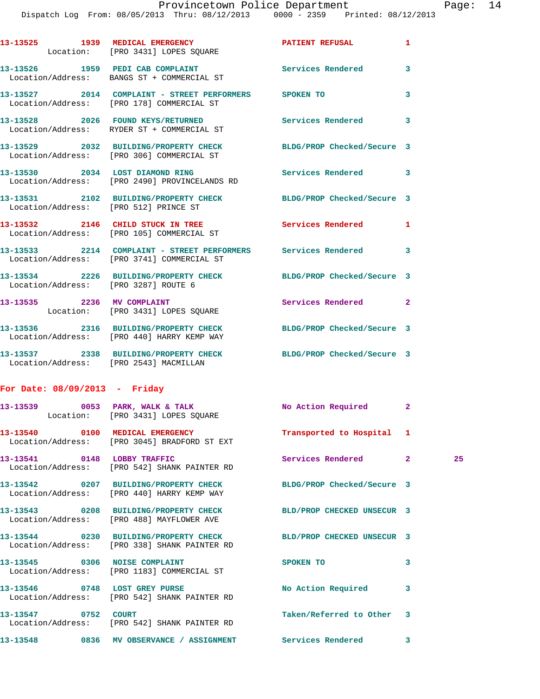Dispatch Log From: 08/05/2013 Thru: 08/12/2013 0000 - 2359 Printed: 08/12/2013

|                                 | 13-13525 1939 MEDICAL EMERGENCY PATIENT REFUSAL<br>Location: [PRO 3431] LOPES SQUARE                           |                            | 1            |    |
|---------------------------------|----------------------------------------------------------------------------------------------------------------|----------------------------|--------------|----|
|                                 | 13-13526 1959 PEDI CAB COMPLAINT<br>Location/Address: BANGS ST + COMMERCIAL ST                                 | Services Rendered 3        |              |    |
|                                 | 13-13527 2014 COMPLAINT - STREET PERFORMERS SPOKEN TO<br>Location/Address: [PRO 178] COMMERCIAL ST             |                            | 3            |    |
|                                 | 13-13528 2026 FOUND KEYS/RETURNED<br>Location/Address: RYDER ST + COMMERCIAL ST                                | Services Rendered 3        |              |    |
|                                 | 13-13529 2032 BUILDING/PROPERTY CHECK BLDG/PROP Checked/Secure 3<br>Location/Address: [PRO 306] COMMERCIAL ST  |                            |              |    |
|                                 | 13-13530 2034 LOST DIAMOND RING Services Rendered 3<br>Location/Address: [PRO 2490] PROVINCELANDS RD           |                            |              |    |
|                                 | 13-13531 2102 BUILDING/PROPERTY CHECK BLDG/PROP Checked/Secure 3<br>Location/Address: [PRO 512] PRINCE ST      |                            |              |    |
|                                 | 13-13532 2146 CHILD STUCK IN TREE Services Rendered 1<br>Location/Address: [PRO 105] COMMERCIAL ST             |                            |              |    |
|                                 | 13-13533 2214 COMPLAINT - STREET PERFORMERS Services Rendered 3<br>Location/Address: [PRO 3741] COMMERCIAL ST  |                            |              |    |
|                                 | 13-13534 2226 BUILDING/PROPERTY CHECK BLDG/PROP Checked/Secure 3<br>Location/Address: [PRO 3287] ROUTE 6       |                            |              |    |
|                                 | 13-13535 2236 MV COMPLAINT<br>Location: [PRO 3431] LOPES SQUARE                                                | Services Rendered 2        |              |    |
|                                 | 13-13536 2316 BUILDING/PROPERTY CHECK BLDG/PROP Checked/Secure 3<br>Location/Address: [PRO 440] HARRY KEMP WAY |                            |              |    |
|                                 | 13-13537 2338 BUILDING/PROPERTY CHECK BLDG/PROP Checked/Secure 3<br>Location/Address: [PRO 2543] MACMILLAN     |                            |              |    |
| For Date: $08/09/2013$ - Friday |                                                                                                                |                            |              |    |
|                                 | 13-13539 0053 PARK, WALK & TALK No Action Required 2<br>Location: [PRO 3431] LOPES SQUARE                      |                            |              |    |
|                                 | Location/Address: [PRO 3045] BRADFORD ST EXT                                                                   |                            |              |    |
| 13-13541 0148 LOBBY TRAFFIC     | Location/Address: [PRO 542] SHANK PAINTER RD                                                                   | Services Rendered          | $\mathbf{2}$ | 25 |
|                                 | 13-13542 0207 BUILDING/PROPERTY CHECK BLDG/PROP Checked/Secure 3<br>Location/Address: [PRO 440] HARRY KEMP WAY |                            |              |    |
|                                 | 13-13543 0208 BUILDING/PROPERTY CHECK BLD/PROP CHECKED UNSECUR 3<br>Location/Address: [PRO 488] MAYFLOWER AVE  |                            |              |    |
|                                 | 13-13544 0230 BUILDING/PROPERTY CHECK<br>Location/Address: [PRO 338] SHANK PAINTER RD                          | BLD/PROP CHECKED UNSECUR 3 |              |    |
|                                 | 13-13545 0306 NOISE COMPLAINT<br>Location/Address: [PRO 1183] COMMERCIAL ST                                    | SPOKEN TO                  | 3            |    |
|                                 | 13-13546 0748 LOST GREY PURSE<br>Location/Address: [PRO 542] SHANK PAINTER RD                                  | No Action Required         | 3            |    |
| 13-13547 0752 COURT             | Location/Address: [PRO 542] SHANK PAINTER RD                                                                   | Taken/Referred to Other 3  |              |    |
|                                 | 13-13548 0836 MV OBSERVANCE / ASSIGNMENT Services Rendered 3                                                   |                            |              |    |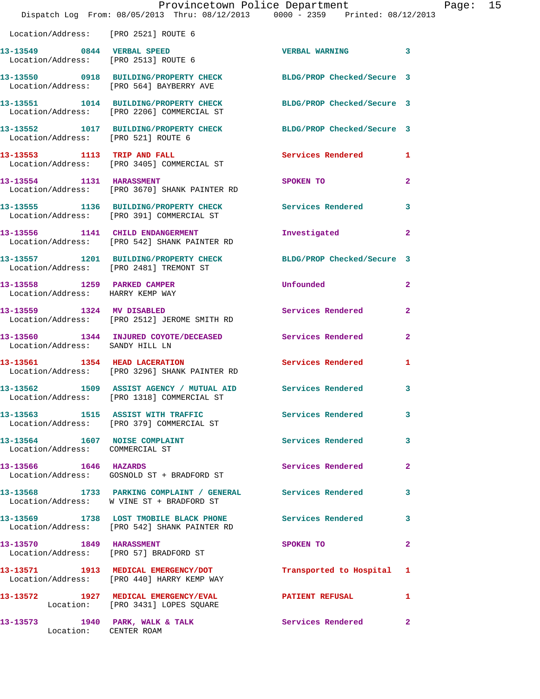|                                                                  | Provincetown Police Department<br>Dispatch Log From: 08/05/2013 Thru: 08/12/2013 0000 - 2359 Printed: 08/12/2013 |                          |                | Page: 15 |  |
|------------------------------------------------------------------|------------------------------------------------------------------------------------------------------------------|--------------------------|----------------|----------|--|
|                                                                  |                                                                                                                  |                          |                |          |  |
| Location/Address: [PRO 2521] ROUTE 6                             |                                                                                                                  |                          |                |          |  |
| 13-13549 0844 VERBAL SPEED                                       | Location/Address: [PRO 2513] ROUTE 6                                                                             | VERBAL WARNING 3         |                |          |  |
|                                                                  | 13-13550 0918 BUILDING/PROPERTY CHECK BLDG/PROP Checked/Secure 3<br>Location/Address: [PRO 564] BAYBERRY AVE     |                          |                |          |  |
|                                                                  | 13-13551 1014 BUILDING/PROPERTY CHECK BLDG/PROP Checked/Secure 3<br>Location/Address: [PRO 2206] COMMERCIAL ST   |                          |                |          |  |
| Location/Address: [PRO 521] ROUTE 6                              | 13-13552 1017 BUILDING/PROPERTY CHECK BLDG/PROP Checked/Secure 3                                                 |                          |                |          |  |
|                                                                  | 13-13553 1113 TRIP AND FALL<br>Location/Address: [PRO 3405] COMMERCIAL ST                                        | Services Rendered 1      |                |          |  |
|                                                                  | 13-13554 1131 HARASSMENT<br>Location/Address: [PRO 3670] SHANK PAINTER RD                                        | SPOKEN TO                | $\mathbf{2}$   |          |  |
|                                                                  | 13-13555 1136 BUILDING/PROPERTY CHECK Services Rendered<br>Location/Address: [PRO 391] COMMERCIAL ST             |                          | 3              |          |  |
|                                                                  | 13-13556 1141 CHILD ENDANGERMENT<br>Location/Address: [PRO 542] SHANK PAINTER RD                                 | Investigated             | $\mathbf{2}$   |          |  |
|                                                                  | 13-13557 1201 BUILDING/PROPERTY CHECK BLDG/PROP Checked/Secure 3<br>Location/Address: [PRO 2481] TREMONT ST      |                          |                |          |  |
| 13-13558 1259 PARKED CAMPER<br>Location/Address: HARRY KEMP WAY  |                                                                                                                  | Unfounded                | $\mathbf{2}$   |          |  |
|                                                                  | 13-13559 1324 MV DISABLED<br>Location/Address: [PRO 2512] JEROME SMITH RD                                        | Services Rendered        | $\mathbf{2}$   |          |  |
| Location/Address: SANDY HILL LN                                  | 13-13560 1344 INJURED COYOTE/DECEASED Services Rendered 2                                                        |                          |                |          |  |
|                                                                  | 13-13561 1354 HEAD LACERATION<br>Location/Address: [PRO 3296] SHANK PAINTER RD                                   | <b>Services Rendered</b> | 1              |          |  |
|                                                                  | 13-13562 1509 ASSIST AGENCY / MUTUAL AID Services Rendered 3<br>Location/Address: [PRO 1318] COMMERCIAL ST       |                          |                |          |  |
|                                                                  | 13-13563 1515 ASSIST WITH TRAFFIC Services Rendered<br>Location/Address: [PRO 379] COMMERCIAL ST                 |                          | 3              |          |  |
| 13-13564 1607 NOISE COMPLAINT<br>Location/Address: COMMERCIAL ST |                                                                                                                  | Services Rendered 3      |                |          |  |
|                                                                  | 13-13566 1646 HAZARDS<br>Location/Address: GOSNOLD ST + BRADFORD ST                                              | Services Rendered        | $\mathbf{2}$   |          |  |
|                                                                  | 13-13568 1733 PARKING COMPLAINT / GENERAL Services Rendered 3<br>Location/Address: W VINE ST + BRADFORD ST       |                          |                |          |  |
|                                                                  | 13-13569 1738 LOST TMOBILE BLACK PHONE Services Rendered<br>Location/Address: [PRO 542] SHANK PAINTER RD         |                          | 3              |          |  |
| 13-13570 1849 HARASSMENT                                         | Location/Address: [PRO 57] BRADFORD ST                                                                           | SPOKEN TO                | $\overline{2}$ |          |  |
|                                                                  | 13-13571 1913 MEDICAL EMERGENCY/DOT Transported to Hospital 1<br>Location/Address: [PRO 440] HARRY KEMP WAY      |                          |                |          |  |
|                                                                  | 13-13572 1927 MEDICAL EMERGENCY/EVAL 2008 PATIENT REFUSAL 1<br>Location: [PRO 3431] LOPES SQUARE                 |                          |                |          |  |
|                                                                  | 13-13573 1940 PARK, WALK & TALK Services Rendered<br>Location: CENTER ROAM                                       |                          | $\mathbf{2}$   |          |  |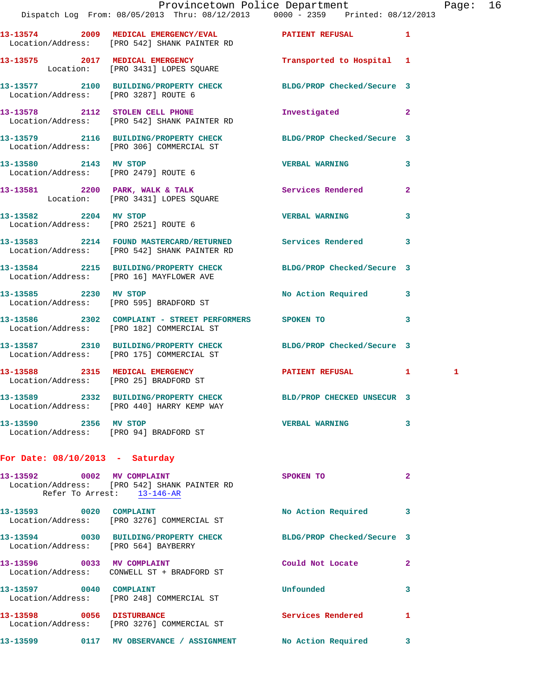|                                                                 | Provincetown Police Department Page: 16                                                                       |                            |                |   |  |
|-----------------------------------------------------------------|---------------------------------------------------------------------------------------------------------------|----------------------------|----------------|---|--|
|                                                                 | Dispatch Log From: 08/05/2013 Thru: 08/12/2013 0000 - 2359 Printed: 08/12/2013                                |                            |                |   |  |
|                                                                 | 13-13574 2009 MEDICAL EMERGENCY/EVAL 2009 PATIENT REFUSAL<br>Location/Address: [PRO 542] SHANK PAINTER RD     |                            |                |   |  |
|                                                                 | 13-13575 2017 MEDICAL EMERGENCY<br>Location: [PRO 3431] LOPES SQUARE                                          | Transported to Hospital 1  |                |   |  |
| Location/Address: [PRO 3287] ROUTE 6                            | 13-13577 2100 BUILDING/PROPERTY CHECK BLDG/PROP Checked/Secure 3                                              |                            |                |   |  |
|                                                                 | 13-13578 2112 STOLEN CELL PHONE<br>Location/Address: [PRO 542] SHANK PAINTER RD                               | Investigated 2             |                |   |  |
|                                                                 | 13-13579 2116 BUILDING/PROPERTY CHECK BLDG/PROP Checked/Secure 3<br>Location/Address: [PRO 306] COMMERCIAL ST |                            |                |   |  |
|                                                                 | 13-13580 2143 MV STOP<br>Location/Address: [PRO 2479] ROUTE 6                                                 | <b>VERBAL WARNING</b> 3    |                |   |  |
|                                                                 | 13-13581 2200 PARK, WALK & TALK 3 Services Rendered 2<br>Location: [PRO 3431] LOPES SQUARE                    |                            |                |   |  |
| 13-13582 2204 MV STOP                                           | Location/Address: [PRO 2521] ROUTE 6                                                                          | <b>VERBAL WARNING</b> 3    |                |   |  |
|                                                                 | 13-13583 2214 FOUND MASTERCARD/RETURNED Services Rendered 3<br>Location/Address: [PRO 542] SHANK PAINTER RD   |                            |                |   |  |
|                                                                 | 13-13584 2215 BUILDING/PROPERTY CHECK BLDG/PROP Checked/Secure 3<br>Location/Address: [PRO 16] MAYFLOWER AVE  |                            |                |   |  |
|                                                                 | 13-13585 2230 MV STOP<br>Location/Address: [PRO 595] BRADFORD ST                                              | No Action Required 3       |                |   |  |
|                                                                 | 13-13586 2302 COMPLAINT - STREET PERFORMERS SPOKEN TO<br>Location/Address: [PRO 182] COMMERCIAL ST            |                            | $\mathbf{3}$   |   |  |
|                                                                 | 13-13587 2310 BUILDING/PROPERTY CHECK BLDG/PROP Checked/Secure 3<br>Location/Address: [PRO 175] COMMERCIAL ST |                            |                |   |  |
|                                                                 | 13-13588 2315 MEDICAL EMERGENCY PATIENT REFUSAL 1<br>Location/Address: [PRO 25] BRADFORD ST                   |                            |                | 1 |  |
|                                                                 | 13-13589 2332 BUILDING/PROPERTY CHECK<br>Location/Address: [PRO 440] HARRY KEMP WAY                           | BLD/PROP CHECKED UNSECUR 3 |                |   |  |
| 13-13590 2356 MV STOP<br>Location/Address: [PRO 94] BRADFORD ST |                                                                                                               | <b>VERBAL WARNING</b>      | 3              |   |  |
| For Date: $08/10/2013$ - Saturday                               |                                                                                                               |                            |                |   |  |
| 13-13592 0002 MV COMPLAINT                                      | Location/Address: [PRO 542] SHANK PAINTER RD<br>Refer To Arrest: 13-146-AR                                    | SPOKEN TO                  | $\overline{2}$ |   |  |

**13-13593 0020 COMPLAINT No Action Required 3**  Location/Address: [PRO 3276] COMMERCIAL ST **13-13594 0030 BUILDING/PROPERTY CHECK BLDG/PROP Checked/Secure 3**  Location/Address: [PRO 564] BAYBERRY **13-13596 0033 MV COMPLAINT Could Not Locate 2**  Location/Address: CONWELL ST + BRADFORD ST **13-13597 0040 COMPLAINT Unfounded 3**  Location/Address: [PRO 248] COMMERCIAL ST **13-13598 0056 DISTURBANCE Services Rendered 1**  Location/Address: [PRO 3276] COMMERCIAL ST **13-13599 0117 MV OBSERVANCE / ASSIGNMENT No Action Required 3**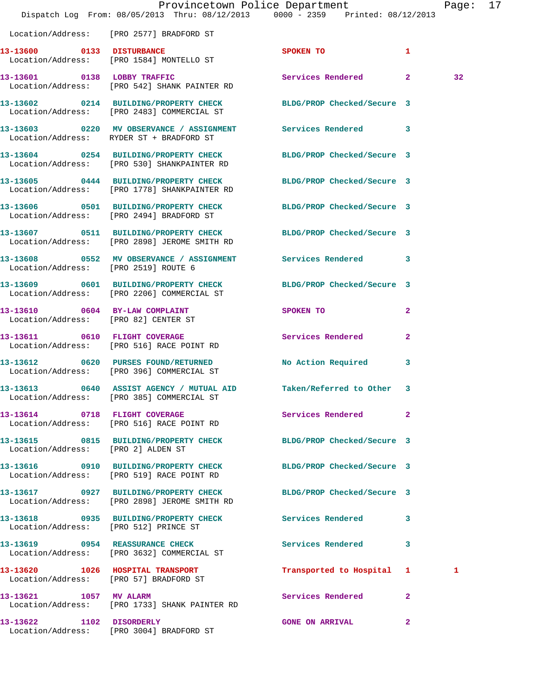|                                                                        | Dispatch Log From: 08/05/2013 Thru: 08/12/2013 0000 - 2359 Printed: 08/12/2013                                   | Provincetown Police Department |              | Page: 17 |  |
|------------------------------------------------------------------------|------------------------------------------------------------------------------------------------------------------|--------------------------------|--------------|----------|--|
|                                                                        | Location/Address: [PRO 2577] BRADFORD ST                                                                         |                                |              |          |  |
|                                                                        | 13-13600 0133 DISTURBANCE<br>Location/Address: [PRO 1584] MONTELLO ST                                            | <b>SPOKEN TO</b>               | $\mathbf{1}$ |          |  |
|                                                                        | 13-13601 0138 LOBBY TRAFFIC<br>Location/Address: [PRO 542] SHANK PAINTER RD                                      | Services Rendered 2            |              | 32       |  |
|                                                                        | 13-13602 0214 BUILDING/PROPERTY CHECK<br>Location/Address: [PRO 2483] COMMERCIAL ST                              | BLDG/PROP Checked/Secure 3     |              |          |  |
|                                                                        | 13-13603 0220 MV OBSERVANCE / ASSIGNMENT Services Rendered 3<br>Location/Address: RYDER ST + BRADFORD ST         |                                |              |          |  |
|                                                                        | 13-13604 0254 BUILDING/PROPERTY CHECK BLDG/PROP Checked/Secure 3<br>Location/Address: [PRO 530] SHANKPAINTER RD  |                                |              |          |  |
|                                                                        | 13-13605 0444 BUILDING/PROPERTY CHECK BLDG/PROP Checked/Secure 3<br>Location/Address: [PRO 1778] SHANKPAINTER RD |                                |              |          |  |
|                                                                        | 13-13606 0501 BUILDING/PROPERTY CHECK BLDG/PROP Checked/Secure 3<br>Location/Address: [PRO 2494] BRADFORD ST     |                                |              |          |  |
|                                                                        | 13-13607 0511 BUILDING/PROPERTY CHECK BLDG/PROP Checked/Secure 3<br>Location/Address: [PRO 2898] JEROME SMITH RD |                                |              |          |  |
| Location/Address: [PRO 2519] ROUTE 6                                   | 13-13608 0552 MV OBSERVANCE / ASSIGNMENT Services Rendered 3                                                     |                                |              |          |  |
|                                                                        | 13-13609 0601 BUILDING/PROPERTY CHECK<br>Location/Address: [PRO 2206] COMMERCIAL ST                              | BLDG/PROP Checked/Secure 3     |              |          |  |
| 13-13610 0604 BY-LAW COMPLAINT<br>Location/Address: [PRO 82] CENTER ST |                                                                                                                  | SPOKEN TO                      | $\mathbf{2}$ |          |  |
|                                                                        | 13-13611 0610 FLIGHT COVERAGE<br>Location/Address: [PRO 516] RACE POINT RD                                       | Services Rendered              | $\mathbf{2}$ |          |  |
|                                                                        | 13-13612 0620 PURSES FOUND/RETURNED<br>Location/Address: [PRO 396] COMMERCIAL ST                                 | No Action Required             | $\mathbf{3}$ |          |  |
|                                                                        | 13-13613 0640 ASSIST AGENCY / MUTUAL AID Taken/Referred to Other 3<br>Location/Address: [PRO 385] COMMERCIAL ST  |                                |              |          |  |
|                                                                        | 13-13614 0718 FLIGHT COVERAGE<br>Location/Address: [PRO 516] RACE POINT RD                                       | Services Rendered              | $\mathbf{2}$ |          |  |
| Location/Address: [PRO 2] ALDEN ST                                     | 13-13615 0815 BUILDING/PROPERTY CHECK BLDG/PROP Checked/Secure 3                                                 |                                |              |          |  |
|                                                                        | 13-13616 0910 BUILDING/PROPERTY CHECK BLDG/PROP Checked/Secure 3<br>Location/Address: [PRO 519] RACE POINT RD    |                                |              |          |  |
|                                                                        | 13-13617 0927 BUILDING/PROPERTY CHECK<br>Location/Address: [PRO 2898] JEROME SMITH RD                            | BLDG/PROP Checked/Secure 3     |              |          |  |
|                                                                        | 13-13618 0935 BUILDING/PROPERTY CHECK Services Rendered 3<br>Location/Address: [PRO 512] PRINCE ST               |                                |              |          |  |
|                                                                        | 13-13619 0954 REASSURANCE CHECK<br>Location/Address: [PRO 3632] COMMERCIAL ST                                    | Services Rendered              | $\mathbf{3}$ |          |  |
|                                                                        | 13-13620 1026 HOSPITAL TRANSPORT<br>Location/Address: [PRO 57] BRADFORD ST                                       | Transported to Hospital 1      |              | 1        |  |
|                                                                        | 13-13621 1057 MV ALARM<br>Location/Address: [PRO 1733] SHANK PAINTER RD                                          | Services Rendered              | $\mathbf{2}$ |          |  |
| 13-13622 1102 DISORDERLY                                               | Location/Address: [PRO 3004] BRADFORD ST                                                                         | <b>GONE ON ARRIVAL</b>         | $\mathbf{2}$ |          |  |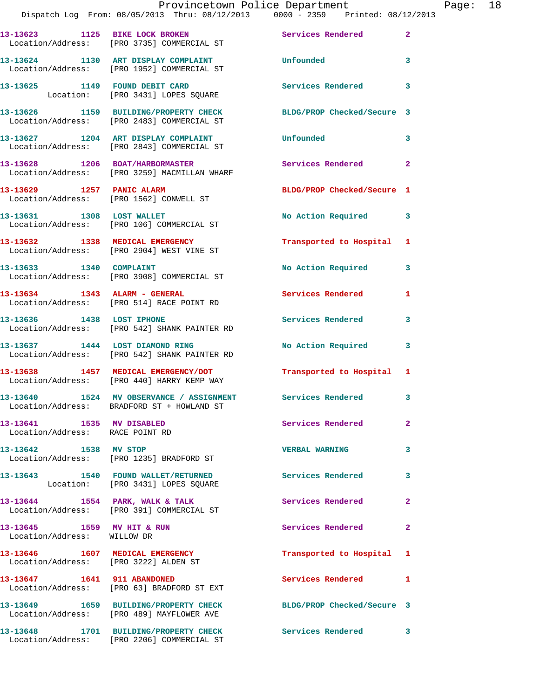## Provincetown Police Department Page: 18 Dispatch Log From: 08/05/2013 Thru: 08/12/2013 0000 - 2359 Printed: 08/12/2013 **13-13623 1125 BIKE LOCK BROKEN Services Rendered 2**  Location/Address: [PRO 3735] COMMERCIAL ST **13-13624 1130 ART DISPLAY COMPLAINT Unfounded 3**  Location/Address: [PRO 1952] COMMERCIAL ST **13-13625 1149 FOUND DEBIT CARD Services Rendered 3**  Location: [PRO 3431] LOPES SQUARE **13-13626 1159 BUILDING/PROPERTY CHECK BLDG/PROP Checked/Secure 3**  Location/Address: [PRO 2483] COMMERCIAL ST **13-13627 1204 ART DISPLAY COMPLAINT Unfounded 3**  Location/Address: [PRO 2843] COMMERCIAL ST **13-13628 1206 BOAT/HARBORMASTER Services Rendered 2**  Location/Address: [PRO 3259] MACMILLAN WHARF **13-13629 1257 PANIC ALARM BLDG/PROP Checked/Secure 1**  Location/Address: [PRO 1562] CONWELL ST 13-13631 1308 LOST WALLET 1200 No Action Required 3 Location/Address: [PRO 106] COMMERCIAL ST **13-13632 1338 MEDICAL EMERGENCY Transported to Hospital 1**  Location/Address: [PRO 2904] WEST VINE ST **13-13633 1340 COMPLAINT No Action Required 3**  Location/Address: [PRO 3908] COMMERCIAL ST 13-13634 1343 ALARM - GENERAL **Services Rendered** 1 Location/Address: [PRO 514] RACE POINT RD **13-13636 1438 LOST IPHONE Services Rendered 3**  Location/Address: [PRO 542] SHANK PAINTER RD **13-13637 1444 LOST DIAMOND RING No Action Required 3**  Location/Address: [PRO 542] SHANK PAINTER RD **13-13638 1457 MEDICAL EMERGENCY/DOT Transported to Hospital 1**  Location/Address: [PRO 440] HARRY KEMP WAY **13-13640 1524 MV OBSERVANCE / ASSIGNMENT Services Rendered 3**  Location/Address: BRADFORD ST + HOWLAND ST **13-13641 1535 MV DISABLED Services Rendered 2**

Location/Address: RACE POINT RD

**13-13642 1538 MV STOP VERBAL WARNING 3**  Location/Address: [PRO 1235] BRADFORD ST

**13-13643 1540 FOUND WALLET/RETURNED Services Rendered 3**  Location: [PRO 3431] LOPES SQUARE

Location/Address: [PRO 391] COMMERCIAL ST

Location/Address: WILLOW DR

Location/Address: [PRO 3222] ALDEN ST

**13-13647 1641 911 ABANDONED Services Rendered 1**  Location/Address: [PRO 63] BRADFORD ST EXT

**13-13649 1659 BUILDING/PROPERTY CHECK BLDG/PROP Checked/Secure 3**  Location/Address: [PRO 489] MAYFLOWER AVE

**13-13648 1701 BUILDING/PROPERTY CHECK Services Rendered 3**  Location/Address: [PRO 2206] COMMERCIAL ST

13-13644 1554 PARK, WALK & TALK **Services Rendered** 2

**13-13645 1559 MV HIT & RUN Services Rendered 2** 

**13-13646 1607 MEDICAL EMERGENCY Transported to Hospital 1**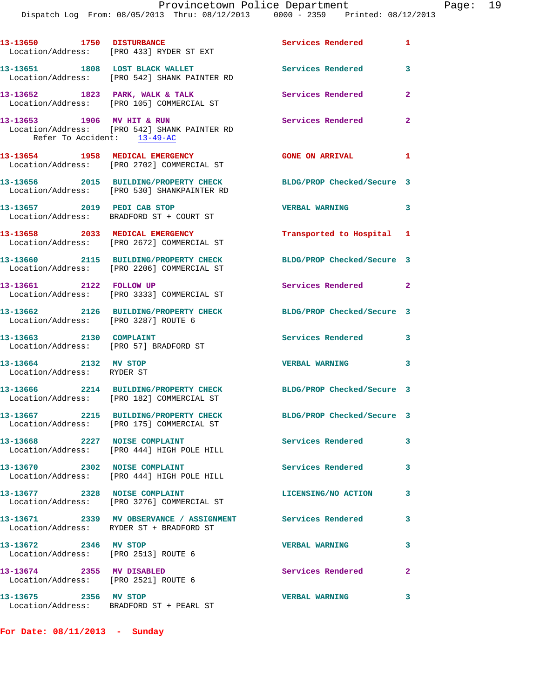| 13-13650 1750 DISTURBANCE                                         | Location/Address: [PRO 433] RYDER ST EXT                                                               | Services Rendered<br>$\blacksquare$ |              |
|-------------------------------------------------------------------|--------------------------------------------------------------------------------------------------------|-------------------------------------|--------------|
|                                                                   | 13-13651 1808 LOST BLACK WALLET<br>Location/Address: [PRO 542] SHANK PAINTER RD                        | <b>Services Rendered</b>            | 3            |
|                                                                   | 13-13652 1823 PARK, WALK & TALK<br>Location/Address: [PRO 105] COMMERCIAL ST                           | Services Rendered                   | $\mathbf{2}$ |
| 13-13653 1906 MV HIT & RUN<br>Refer To Accident: 13-49-AC         | Location/Address: [PRO 542] SHANK PAINTER RD                                                           | Services Rendered                   | $\mathbf{2}$ |
|                                                                   | 13-13654 1958 MEDICAL EMERGENCY<br>Location/Address: [PRO 2702] COMMERCIAL ST                          | <b>GONE ON ARRIVAL</b>              | $\mathbf{1}$ |
|                                                                   | 13-13656 2015 BUILDING/PROPERTY CHECK<br>Location/Address: [PRO 530] SHANKPAINTER RD                   | BLDG/PROP Checked/Secure 3          |              |
| 13-13657 2019 PEDI CAB STOP                                       | Location/Address: BRADFORD ST + COURT ST                                                               | <b>VERBAL WARNING</b>               | 3            |
|                                                                   | 13-13658 2033 MEDICAL EMERGENCY<br>Location/Address: [PRO 2672] COMMERCIAL ST                          | Transported to Hospital 1           |              |
|                                                                   | 13-13660 2115 BUILDING/PROPERTY CHECK<br>Location/Address: [PRO 2206] COMMERCIAL ST                    | BLDG/PROP Checked/Secure 3          |              |
| 13-13661 2122 FOLLOW UP                                           | Location/Address: [PRO 3333] COMMERCIAL ST                                                             | Services Rendered 2                 |              |
| Location/Address: [PRO 3287] ROUTE 6                              | 13-13662 2126 BUILDING/PROPERTY CHECK                                                                  | BLDG/PROP Checked/Secure 3          |              |
| 13-13663 2130 COMPLAINT<br>Location/Address: [PRO 57] BRADFORD ST |                                                                                                        | Services Rendered 3                 |              |
| 13-13664 2132 MV STOP<br>Location/Address: RYDER ST               |                                                                                                        | <b>VERBAL WARNING</b>               | 3            |
|                                                                   | 13-13666 2214 BUILDING/PROPERTY CHECK<br>Location/Address: [PRO 182] COMMERCIAL ST                     | BLDG/PROP Checked/Secure 3          |              |
|                                                                   | 13-13667 2215 BUILDING/PROPERTY CHECK<br>Location/Address: [PRO 175] COMMERCIAL ST                     | BLDG/PROP Checked/Secure 3          |              |
| 13-13668 2227 NOISE COMPLAINT                                     | Location/Address: [PRO 444] HIGH POLE HILL                                                             | Services Rendered                   | 3            |
| 13-13670 2302 NOISE COMPLAINT                                     | Location/Address: [PRO 444] HIGH POLE HILL                                                             | Services Rendered                   | 3            |
| 13-13677 2328 NOISE COMPLAINT                                     | Location/Address: [PRO 3276] COMMERCIAL ST                                                             | LICENSING/NO ACTION                 | 3            |
|                                                                   | 13-13671 2339 MV OBSERVANCE / ASSIGNMENT Services Rendered<br>Location/Address: RYDER ST + BRADFORD ST |                                     | 3            |
| 13-13672 2346 MV STOP<br>Location/Address: [PRO 2513] ROUTE 6     |                                                                                                        | <b>VERBAL WARNING</b>               | 3            |
| 13-13674 2355 MV DISABLED<br>Location/Address: [PRO 2521] ROUTE 6 |                                                                                                        | Services Rendered                   | $\mathbf{2}$ |
| 13-13675 2356 MV STOP                                             |                                                                                                        | <b>VERBAL WARNING</b>               | 3            |

**For Date: 08/11/2013 - Sunday**

Location/Address: BRADFORD ST + PEARL ST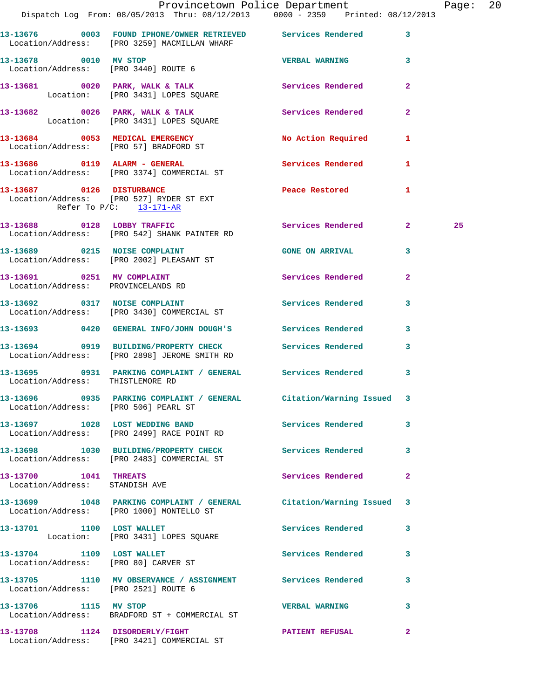|                                                         | Provincetown Police Department<br>Dispatch Log From: 08/05/2013 Thru: 08/12/2013 0000 - 2359 Printed: 08/12/2013 |                         |                | Page: 20 |  |
|---------------------------------------------------------|------------------------------------------------------------------------------------------------------------------|-------------------------|----------------|----------|--|
|                                                         | 13-13676 0003 FOUND IPHONE/OWNER RETRIEVED Services Rendered 3<br>Location/Address: [PRO 3259] MACMILLAN WHARF   |                         |                |          |  |
| 13-13678 0010 MV STOP                                   | Location/Address: [PRO 3440] ROUTE 6                                                                             | <b>VERBAL WARNING</b> 3 |                |          |  |
|                                                         | 13-13681 0020 PARK, WALK & TALK 2000 Services Rendered<br>Location: [PRO 3431] LOPES SQUARE                      |                         | $\mathbf{2}$   |          |  |
|                                                         | 13-13682 0026 PARK, WALK & TALK Services Rendered<br>Location: [PRO 3431] LOPES SQUARE                           |                         | $\mathbf{2}$   |          |  |
|                                                         | 13-13684 0053 MEDICAL EMERGENCY<br>Location/Address: [PRO 57] BRADFORD ST                                        | No Action Required 1    |                |          |  |
|                                                         | 13-13686 0119 ALARM - GENERAL<br>Location/Address: [PRO 3374] COMMERCIAL ST                                      | Services Rendered       | $\mathbf{1}$   |          |  |
| Refer To $P/C$ : 13-171-AR                              | 13-13687 0126 DISTURBANCE<br>Location/Address: [PRO 527] RYDER ST EXT                                            | Peace Restored 1        |                |          |  |
|                                                         | 13-13688 0128 LOBBY TRAFFIC<br>Location/Address: [PRO 542] SHANK PAINTER RD                                      | Services Rendered 2     |                | 25       |  |
|                                                         | 13-13689 0215 NOISE COMPLAINT CONSERVENT CONSERVAL 3<br>Location/Address: [PRO 2002] PLEASANT ST                 |                         |                |          |  |
| Location/Address: PROVINCELANDS RD                      | 13-13691 0251 MV COMPLAINT                                                                                       | Services Rendered       | $\mathbf{2}$   |          |  |
|                                                         | 13-13692 0317 NOISE COMPLAINT Services Rendered<br>Location/Address: [PRO 3430] COMMERCIAL ST                    |                         | $\mathbf{3}$   |          |  |
|                                                         | 13-13693 0420 GENERAL INFO/JOHN DOUGH'S Services Rendered 3                                                      |                         |                |          |  |
|                                                         | 13-13694 0919 BUILDING/PROPERTY CHECK Services Rendered 3<br>Location/Address: [PRO 2898] JEROME SMITH RD        |                         |                |          |  |
| Location/Address: THISTLEMORE RD                        | 13-13695 0931 PARKING COMPLAINT / GENERAL Services Rendered                                                      |                         | 3              |          |  |
| Location/Address: [PRO 506] PEARL ST                    | 13-13696 0935 PARKING COMPLAINT / GENERAL Citation/Warning Issued 3                                              |                         |                |          |  |
|                                                         | 13-13697 1028 LOST WEDDING BAND<br>Location/Address: [PRO 2499] RACE POINT RD                                    | Services Rendered 3     |                |          |  |
|                                                         | 13-13698 1030 BUILDING/PROPERTY CHECK Services Rendered 3<br>Location/Address: [PRO 2483] COMMERCIAL ST          |                         |                |          |  |
| 13-13700 1041 THREATS<br>Location/Address: STANDISH AVE |                                                                                                                  | Services Rendered       | $\overline{2}$ |          |  |
|                                                         | 13-13699 1048 PARKING COMPLAINT / GENERAL Citation/Warning Issued 3<br>Location/Address: [PRO 1000] MONTELLO ST  |                         |                |          |  |
|                                                         | 13-13701 1100 LOST WALLET<br>Location: [PRO 3431] LOPES SQUARE                                                   | Services Rendered       | 3              |          |  |
| 13-13704 1109 LOST WALLET                               | Location/Address: [PRO 80] CARVER ST                                                                             | Services Rendered 3     |                |          |  |
| Location/Address: [PRO 2521] ROUTE 6                    | 13-13705 1110 MV OBSERVANCE / ASSIGNMENT Services Rendered                                                       |                         | 3              |          |  |
| 13-13706 1115 MV STOP                                   | Location/Address: BRADFORD ST + COMMERCIAL ST                                                                    | <b>VERBAL WARNING</b>   | 3              |          |  |
|                                                         | 13-13708 1124 DISORDERLY/FIGHT NETRATIENT REFUSAL<br>Location/Address: [PRO 3421] COMMERCIAL ST                  |                         | 2              |          |  |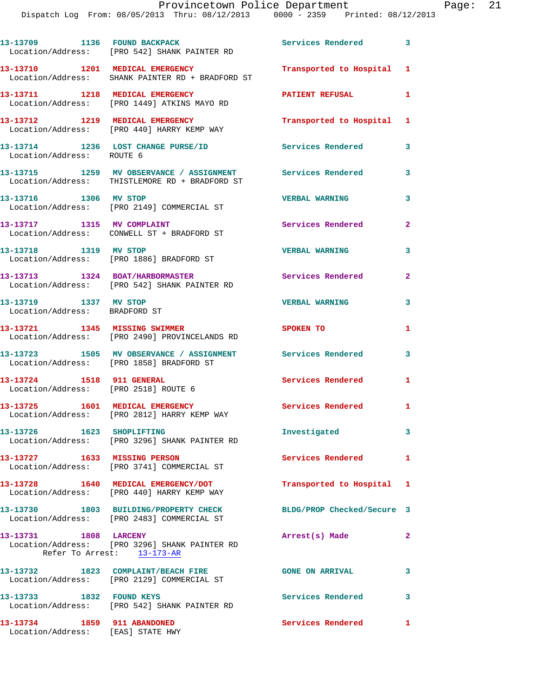|                                                        | 13-13709 1136 FOUND BACKPACK<br>Location/Address: [PRO 542] SHANK PAINTER RD                                 | <b>Services Rendered</b>   | $\overline{\mathbf{3}}$ |
|--------------------------------------------------------|--------------------------------------------------------------------------------------------------------------|----------------------------|-------------------------|
|                                                        | 13-13710 1201 MEDICAL EMERGENCY<br>Location/Address: SHANK PAINTER RD + BRADFORD ST                          | Transported to Hospital    | 1                       |
|                                                        | 13-13711 1218 MEDICAL EMERGENCY<br>Location/Address: [PRO 1449] ATKINS MAYO RD                               | PATIENT REFUSAL            | 1                       |
|                                                        | 13-13712 1219 MEDICAL EMERGENCY<br>Location/Address: [PRO 440] HARRY KEMP WAY                                | Transported to Hospital    | 1                       |
| Location/Address: ROUTE 6                              | 13-13714 1236 LOST CHANGE PURSE/ID                                                                           | <b>Services Rendered</b>   | 3                       |
|                                                        | 13-13715 1259 MV OBSERVANCE / ASSIGNMENT Services Rendered<br>Location/Address: THISTLEMORE RD + BRADFORD ST |                            | 3                       |
| 13-13716 1306 MV STOP                                  | Location/Address: [PRO 2149] COMMERCIAL ST                                                                   | <b>VERBAL WARNING</b>      | 3                       |
| 13-13717 1315 MV COMPLAINT                             | Location/Address: CONWELL ST + BRADFORD ST                                                                   | Services Rendered          | $\overline{2}$          |
| 13-13718 1319 MV STOP                                  | Location/Address: [PRO 1886] BRADFORD ST                                                                     | <b>VERBAL WARNING</b>      | 3                       |
|                                                        | 13-13713 1324 BOAT/HARBORMASTER<br>Location/Address: [PRO 542] SHANK PAINTER RD                              | <b>Services Rendered</b>   | $\overline{2}$          |
| 13-13719 1337 MV STOP<br>Location/Address: BRADFORD ST |                                                                                                              | <b>VERBAL WARNING</b>      | 3                       |
|                                                        | 13-13721 1345 MISSING SWIMMER<br>Location/Address: [PRO 2490] PROVINCELANDS RD                               | SPOKEN TO                  | 1                       |
|                                                        | 13-13723 1505 MV OBSERVANCE / ASSIGNMENT<br>Location/Address: [PRO 1858] BRADFORD ST                         | <b>Services Rendered</b>   | 3                       |
|                                                        | 13-13724 1518 911 GENERAL<br>Location/Address: [PRO 2518] ROUTE 6                                            | Services Rendered          | 1                       |
|                                                        | 13-13725 1601 MEDICAL EMERGENCY<br>Location/Address: [PRO 2812] HARRY KEMP WAY                               | <b>Services Rendered</b>   | 1                       |
| 13-13726                                               | 1623 SHOPLIFTING<br>Location/Address: [PRO 3296] SHANK PAINTER RD                                            | Investigated               | 3                       |
| 13-13727 1633 MISSING PERSON                           | Location/Address: [PRO 3741] COMMERCIAL ST                                                                   | <b>Services Rendered</b>   | 1                       |
|                                                        | 13-13728 1640 MEDICAL EMERGENCY/DOT<br>Location/Address: [PRO 440] HARRY KEMP WAY                            | Transported to Hospital 1  |                         |
|                                                        | 13-13730 1803 BUILDING/PROPERTY CHECK<br>Location/Address: [PRO 2483] COMMERCIAL ST                          | BLDG/PROP Checked/Secure 3 |                         |
| 13-13731 1808 LARCENY                                  | Location/Address: [PRO 3296] SHANK PAINTER RD<br>Refer To Arrest: 13-173-AR                                  | Arrest(s) Made             | $\mathbf{2}$            |
|                                                        | 13-13732 1823 COMPLAINT/BEACH FIRE<br>Location/Address: [PRO 2129] COMMERCIAL ST                             | <b>GONE ON ARRIVAL</b>     | $\overline{\mathbf{3}}$ |
|                                                        | 13-13733 1832 FOUND KEYS<br>Location/Address: [PRO 542] SHANK PAINTER RD                                     | Services Rendered 3        |                         |
|                                                        |                                                                                                              |                            |                         |

**13-13734 1859 911 ABANDONED Services Rendered 1** 

Location/Address: [EAS] STATE HWY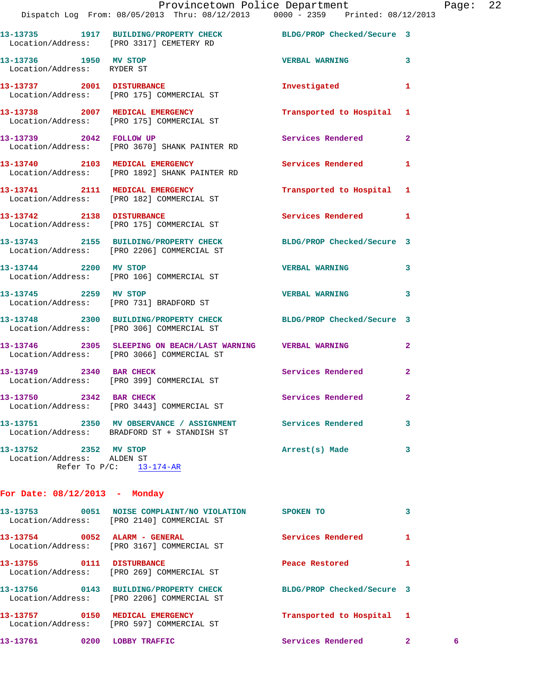|                                                     | Provincetown Police Department<br>Dispatch Log From: 08/05/2013 Thru: 08/12/2013 0000 - 2359 Printed: 08/12/2013 |                           |              | Page: 22 |  |
|-----------------------------------------------------|------------------------------------------------------------------------------------------------------------------|---------------------------|--------------|----------|--|
|                                                     | 13-13735 1917 BUILDING/PROPERTY CHECK BLDG/PROP Checked/Secure 3<br>Location/Address: [PRO 3317] CEMETERY RD     |                           |              |          |  |
|                                                     |                                                                                                                  | VERBAL WARNING 3          |              |          |  |
|                                                     | 13-13737 2001 DISTURBANCE<br>Location/Address: [PRO 175] COMMERCIAL ST                                           | Investigated 1            |              |          |  |
|                                                     | 13-13738 2007 MEDICAL EMERGENCY<br>Location/Address: [PRO 175] COMMERCIAL ST                                     | Transported to Hospital 1 |              |          |  |
|                                                     | 13-13739 2042 FOLLOW UP<br>Location/Address: [PRO 3670] SHANK PAINTER RD                                         | Services Rendered 2       |              |          |  |
|                                                     | 13-13740 2103 MEDICAL EMERGENCY<br>Location/Address: [PRO 1892] SHANK PAINTER RD                                 | Services Rendered 1       |              |          |  |
|                                                     | 13-13741 2111 MEDICAL EMERGENCY<br>Location/Address: [PRO 182] COMMERCIAL ST                                     | Transported to Hospital 1 |              |          |  |
|                                                     | 13-13742 2138 DISTURBANCE<br>Location/Address: [PRO 175] COMMERCIAL ST                                           | Services Rendered 1       |              |          |  |
|                                                     | 13-13743 2155 BUILDING/PROPERTY CHECK BLDG/PROP Checked/Secure 3<br>Location/Address: [PRO 2206] COMMERCIAL ST   |                           |              |          |  |
| 13-13744 2200 MV STOP                               | Location/Address: [PRO 106] COMMERCIAL ST                                                                        | VERBAL WARNING 3          |              |          |  |
|                                                     | 13-13745 2259 MV STOP<br>Location/Address: [PRO 731] BRADFORD ST                                                 | <b>VERBAL WARNING</b>     | 3            |          |  |
|                                                     | 13-13748 2300 BUILDING/PROPERTY CHECK BLDG/PROP Checked/Secure 3<br>Location/Address: [PRO 306] COMMERCIAL ST    |                           |              |          |  |
|                                                     | 13-13746 2305 SLEEPING ON BEACH/LAST WARNING VERBAL WARNING<br>Location/Address: [PRO 3066] COMMERCIAL ST        |                           | $\mathbf{2}$ |          |  |
| 13-13749 2340 BAR CHECK                             | Location/Address: [PRO 399] COMMERCIAL ST                                                                        | Services Rendered         | $\mathbf{2}$ |          |  |
| 13-13750                                            | 2342 BAR CHECK<br>Location/Address: [PRO 3443] COMMERCIAL ST                                                     | Services Rendered         | 2            |          |  |
|                                                     | 13-13751 2350 MV OBSERVANCE / ASSIGNMENT<br>Location/Address: BRADFORD ST + STANDISH ST                          | Services Rendered         | 3            |          |  |
| 13-13752 2352 MV STOP<br>Location/Address: ALDEN ST | Refer To $P/C$ : 13-174-AR                                                                                       | Arrest(s) Made            | 3            |          |  |
| For Date: $08/12/2013$ - Monday                     |                                                                                                                  |                           |              |          |  |

| 0051<br>13–13753 | NOISE COMPLAINT/NO VIOLATION<br>Location/Address: [PRO 2140] COMMERCIAL ST   | SPOKEN TO                  |              |   |
|------------------|------------------------------------------------------------------------------|----------------------------|--------------|---|
| 13-13754 0052    | ALARM - GENERAL<br>Location/Address: [PRO 3167] COMMERCIAL ST                | Services Rendered          | 1            |   |
| 13-13755<br>0111 | <b>DISTURBANCE</b><br>Location/Address: [PRO 269] COMMERCIAL ST              | Peace Restored             |              |   |
| 13-13756 0143    | <b>BUILDING/PROPERTY CHECK</b><br>Location/Address: [PRO 2206] COMMERCIAL ST | BLDG/PROP Checked/Secure 3 |              |   |
| 13–13757<br>0150 | MEDICAL EMERGENCY<br>Location/Address: [PRO 597] COMMERCIAL ST               | Transported to Hospital 1  |              |   |
| 13-13761<br>0200 | LOBBY TRAFFIC                                                                | Services Rendered          | $\mathbf{2}$ | 6 |